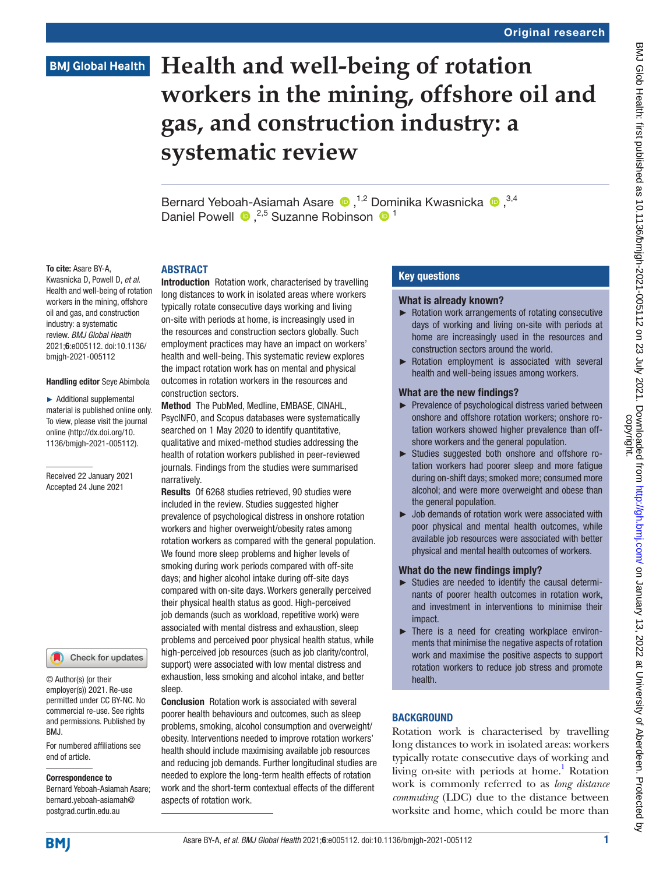# **BMJ Global Health**

# **Health and well-being of rotation workers in the mining, offshore oil and gas, and construction industry: a systematic review**

BernardYeboah-Asiamah Asare (D, 1,2 Dominika Kwasnicka (D, 3,4) Daniel Powell  $\bullet$ , <sup>2,5</sup> Suzanne Robinson  $\bullet$ <sup>1</sup>

#### To cite: Asare BY-A,

Kwasnicka D, Powell D, *et al*. Health and well-being of rotation workers in the mining, offshore oil and gas, and construction industry: a systematic review. *BMJ Global Health* 2021;6:e005112. doi:10.1136/ bmjgh-2021-005112

#### Handling editor Seye Abimbola

► Additional supplemental material is published online only. To view, please visit the journal online ([http://dx.doi.org/10.](http://dx.doi.org/10.1136/bmjgh-2021-005112) [1136/bmjgh-2021-005112](http://dx.doi.org/10.1136/bmjgh-2021-005112)).

Received 22 January 2021 Accepted 24 June 2021

Check for updates

© Author(s) (or their employer(s)) 2021. Re-use permitted under CC BY-NC. No commercial re-use. See rights and permissions. Published by BMJ.

For numbered affiliations see end of article.

#### Correspondence to

Bernard Yeboah-Asiamah Asare; bernard.yeboah-asiamah@ postgrad.curtin.edu.au

**ARSTRACT** Introduction Rotation work, characterised by travelling long distances to work in isolated areas where workers typically rotate consecutive days working and living on-site with periods at home, is increasingly used in the resources and construction sectors globally. Such employment practices may have an impact on workers' health and well-being. This systematic review explores the impact rotation work has on mental and physical outcomes in rotation workers in the resources and construction sectors.

Method The PubMed, Medline, EMBASE, CINAHL, PsycINFO, and Scopus databases were systematically searched on 1 May 2020 to identify quantitative, qualitative and mixed-method studies addressing the health of rotation workers published in peer-reviewed journals. Findings from the studies were summarised narratively.

Results Of 6268 studies retrieved, 90 studies were included in the review. Studies suggested higher prevalence of psychological distress in onshore rotation workers and higher overweight/obesity rates among rotation workers as compared with the general population. We found more sleep problems and higher levels of smoking during work periods compared with off-site days; and higher alcohol intake during off-site days compared with on-site days. Workers generally perceived their physical health status as good. High-perceived job demands (such as workload, repetitive work) were associated with mental distress and exhaustion, sleep problems and perceived poor physical health status, while high-perceived job resources (such as job clarity/control, support) were associated with low mental distress and exhaustion, less smoking and alcohol intake, and better sleep.

Conclusion Rotation work is associated with several poorer health behaviours and outcomes, such as sleep problems, smoking, alcohol consumption and overweight/ obesity. Interventions needed to improve rotation workers' health should include maximising available job resources and reducing job demands. Further longitudinal studies are needed to explore the long-term health effects of rotation work and the short-term contextual effects of the different aspects of rotation work.

#### Key questions

#### What is already known?

- ► Rotation work arrangements of rotating consecutive days of working and living on-site with periods at home are increasingly used in the resources and construction sectors around the world.
- ► Rotation employment is associated with several health and well-being issues among workers.

#### What are the new findings?

- ► Prevalence of psychological distress varied between onshore and offshore rotation workers; onshore rotation workers showed higher prevalence than offshore workers and the general population.
- ► Studies suggested both onshore and offshore rotation workers had poorer sleep and more fatigue during on-shift days; smoked more; consumed more alcohol; and were more overweight and obese than the general population.
- ► Job demands of rotation work were associated with poor physical and mental health outcomes, while available job resources were associated with better physical and mental health outcomes of workers.

#### What do the new findings imply?

- ► Studies are needed to identify the causal determinants of poorer health outcomes in rotation work, and investment in interventions to minimise their impact.
- ► There is a need for creating workplace environments that minimise the negative aspects of rotation work and maximise the positive aspects to support rotation workers to reduce job stress and promote health.

#### **BACKGROUND**

Rotation work is characterised by travelling long distances to work in isolated areas: workers typically rotate consecutive days of working and living on-site with periods at home.<sup>[1](#page-19-0)</sup> Rotation work is commonly referred to as *long distance commuting* (LDC) due to the distance between worksite and home, which could be more than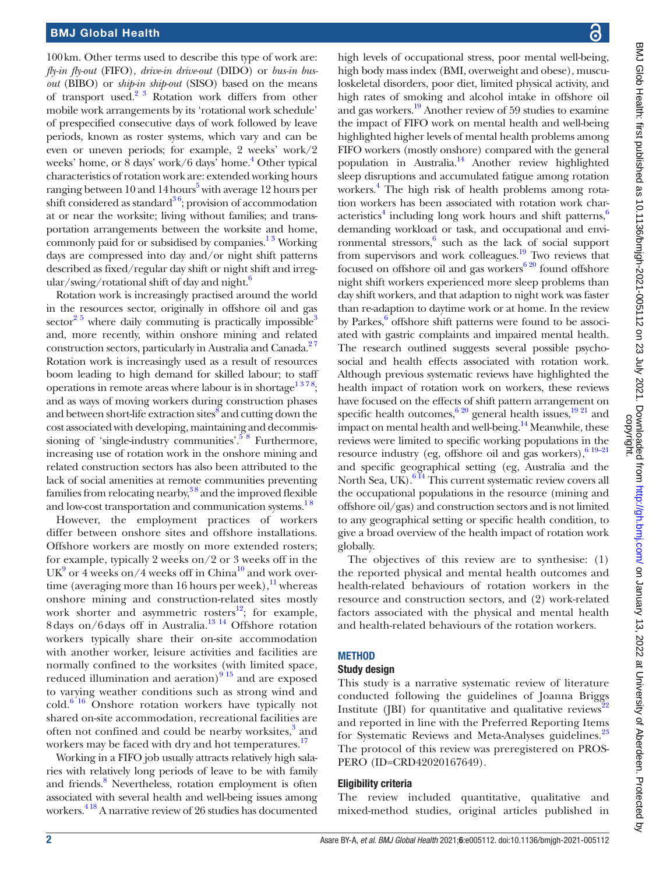100km. Other terms used to describe this type of work are: *fly-in fly-out* (FIFO), *drive-in drive-out* (DIDO) or *bus-in busout* (BIBO) or *ship-in ship-out* (SISO) based on the means of transport used[.2 3](#page-19-1) Rotation work differs from other mobile work arrangements by its 'rotational work schedule' of prespecified consecutive days of work followed by leave periods, known as roster systems, which vary and can be even or uneven periods; for example, 2 weeks' work/2 weeks' home, or 8 days' work/6 days' home.<sup>4</sup> Other typical characteristics of rotation work are: extended working hours ranging between 10 and 14 hours<sup>[5](#page-19-3)</sup> with average 12 hours per shift considered as standard<sup>36</sup>; provision of accommodation at or near the worksite; living without families; and transportation arrangements between the worksite and home, commonly paid for or subsidised by companies. $1<sup>3</sup>$  Working days are compressed into day and/or night shift patterns described as fixed/regular day shift or night shift and irreg- $\frac{u}{x}$  ular/swing/rotational shift of day and night.<sup>6</sup>

Rotation work is increasingly practised around the world in the resources sector, originally in offshore oil and gas sector<sup>2 5</sup> where daily commuting is practically impossible<sup>3</sup> and, more recently, within onshore mining and related construction sectors, particularly in Australia and Canada.<sup>27</sup> Rotation work is increasingly used as a result of resources boom leading to high demand for skilled labour; to staff operations in remote areas where labour is in shortage<sup>1378</sup>; and as ways of moving workers during construction phases and between short-life extraction sites and cutting down the cost associated with developing, maintaining and decommissioning of 'single-industry communities'.<sup>58</sup> Furthermore, increasing use of rotation work in the onshore mining and related construction sectors has also been attributed to the lack of social amenities at remote communities preventing families from relocating nearby, $38$  and the improved flexible and low-cost transportation and communication systems.<sup>18</sup>

However, the employment practices of workers differ between onshore sites and offshore installations. Offshore workers are mostly on more extended rosters; for example, typically 2 weeks on/2 or 3 weeks off in the  $UK<sup>9</sup>$  or 4 weeks on/4 weeks off in China<sup>[10](#page-19-8)</sup> and work overtime (averaging more than 16 hours per week), $\frac{11}{11}$  whereas onshore mining and construction-related sites mostly work shorter and asymmetric rosters $^{12}$ ; for example, 8 days on/6 days off in Australia.<sup>[13 14](#page-19-11)</sup> Offshore rotation workers typically share their on-site accommodation with another worker, leisure activities and facilities are normally confined to the worksites (with limited space, reduced illumination and aeration) $915$  and are exposed to varying weather conditions such as strong wind and  $\text{cold.}^{6,16}$  Onshore rotation workers have typically not shared on-site accommodation, recreational facilities are often not confined and could be nearby worksites,<sup>3</sup> and workers may be faced with dry and hot temperatures.<sup>[17](#page-19-12)</sup>

Working in a FIFO job usually attracts relatively high salaries with relatively long periods of leave to be with family and friends.<sup>[8](#page-19-6)</sup> Nevertheless, rotation employment is often associated with several health and well-being issues among workers.[4 18](#page-19-2) A narrative review of 26 studies has documented

high levels of occupational stress, poor mental well-being, high body mass index (BMI, overweight and obese), musculoskeletal disorders, poor diet, limited physical activity, and high rates of smoking and alcohol intake in offshore oil and gas workers[.19](#page-19-13) Another review of 59 studies to examine the impact of FIFO work on mental health and well-being highlighted higher levels of mental health problems among FIFO workers (mostly onshore) compared with the general population in Australia.<sup>14</sup> Another review highlighted sleep disruptions and accumulated fatigue among rotation workers.<sup>4</sup> The high risk of health problems among rotation workers has been associated with rotation work char-acteristics<sup>[4](#page-19-2)</sup> including long work hours and shift patterns,<sup>6</sup> demanding workload or task, and occupational and envi-ronmental stressors,<sup>[6](#page-19-5)</sup> such as the lack of social support from supervisors and work colleagues[.19](#page-19-13) Two reviews that focused on offshore oil and gas workers $6\frac{20}{1}$  found offshore night shift workers experienced more sleep problems than day shift workers, and that adaption to night work was faster than re-adaption to daytime work or at home. In the review by Parkes,<sup>6</sup> offshore shift patterns were found to be associated with gastric complaints and impaired mental health. The research outlined suggests several possible psychosocial and health effects associated with rotation work. Although previous systematic reviews have highlighted the health impact of rotation work on workers, these reviews have focused on the effects of shift pattern arrangement on specific health outcomes,  $620 \text{ general health issues}$ ,  $1921 \text{ and } 1921 \text{ and } 1921 \text{ and } 1921 \text{ and } 1921 \text{ and } 1921 \text{ and } 1921 \text{ and } 1921 \text{ and } 1921 \text{ and } 1921 \text{ and } 1921 \text{ and } 1921 \text{ and } 1921 \text{ and } 1921 \text{ and } 1921 \text{ and } 1921 \text{ and } 1921 \text{ and } 1921 \text{ and }$ impact on mental health and well-being.<sup>[14](#page-19-14)</sup> Meanwhile, these reviews were limited to specific working populations in the resource industry (eg, offshore oil and gas workers), $6^{19-21}$ and specific geographical setting (eg, Australia and the North Sea, UK). $6\frac{14}{11}$  This current systematic review covers all the occupational populations in the resource (mining and offshore oil/gas) and construction sectors and is not limited to any geographical setting or specific health condition, to give a broad overview of the health impact of rotation work globally.

The objectives of this review are to synthesise: (1) the reported physical and mental health outcomes and health-related behaviours of rotation workers in the resource and construction sectors, and (2) work-related factors associated with the physical and mental health and health-related behaviours of the rotation workers.

# **METHOD**

#### Study design

This study is a narrative systematic review of literature conducted following the guidelines of Joanna Briggs Institute (JBI) for quantitative and qualitative reviews<sup>2</sup> and reported in line with the Preferred Reporting Items for Systematic Reviews and Meta-Analyses guidelines.<sup>[23](#page-19-16)</sup> The protocol of this review was preregistered on PROS-PERO (ID=CRD42020167649).

# Eligibility criteria

The review included quantitative, qualitative and mixed-method studies, original articles published in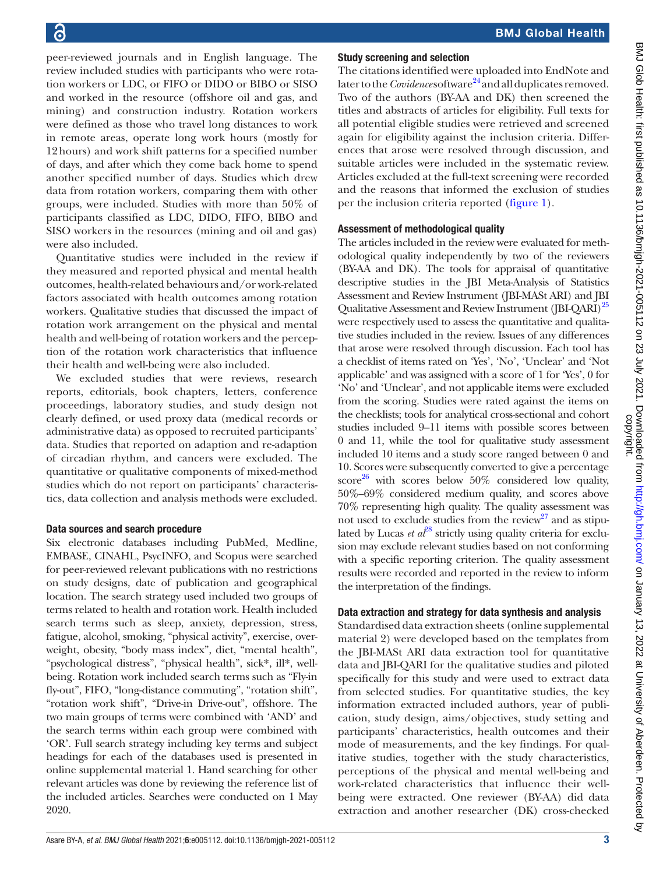peer-reviewed journals and in English language. The review included studies with participants who were rotation workers or LDC, or FIFO or DIDO or BIBO or SISO and worked in the resource (offshore oil and gas, and mining) and construction industry. Rotation workers were defined as those who travel long distances to work in remote areas, operate long work hours (mostly for 12hours) and work shift patterns for a specified number of days, and after which they come back home to spend another specified number of days. Studies which drew data from rotation workers, comparing them with other groups, were included. Studies with more than 50% of participants classified as LDC, DIDO, FIFO, BIBO and SISO workers in the resources (mining and oil and gas) were also included.

Quantitative studies were included in the review if they measured and reported physical and mental health outcomes, health-related behaviours and/or work-related factors associated with health outcomes among rotation workers. Qualitative studies that discussed the impact of rotation work arrangement on the physical and mental health and well-being of rotation workers and the perception of the rotation work characteristics that influence their health and well-being were also included.

We excluded studies that were reviews, research reports, editorials, book chapters, letters, conference proceedings, laboratory studies, and study design not clearly defined, or used proxy data (medical records or administrative data) as opposed to recruited participants' data. Studies that reported on adaption and re-adaption of circadian rhythm, and cancers were excluded. The quantitative or qualitative components of mixed-method studies which do not report on participants' characteristics, data collection and analysis methods were excluded.

#### Data sources and search procedure

Six electronic databases including PubMed, Medline, EMBASE, CINAHL, PsycINFO, and Scopus were searched for peer-reviewed relevant publications with no restrictions on study designs, date of publication and geographical location. The search strategy used included two groups of terms related to health and rotation work. Health included search terms such as sleep, anxiety, depression, stress, fatigue, alcohol, smoking, "physical activity", exercise, overweight, obesity, "body mass index", diet, "mental health", "psychological distress", "physical health", sick\*, ill\*, wellbeing. Rotation work included search terms such as "Fly-in fly-out", FIFO, "long-distance commuting", "rotation shift", "rotation work shift", "Drive-in Drive-out", offshore. The two main groups of terms were combined with 'AND' and the search terms within each group were combined with 'OR'. Full search strategy including key terms and subject headings for each of the databases used is presented in [online supplemental material 1.](https://dx.doi.org/10.1136/bmjgh-2021-005112) Hand searching for other relevant articles was done by reviewing the reference list of the included articles. Searches were conducted on 1 May 2020.

# Study screening and selection

The citations identified were uploaded into EndNote and later to the *Covidence* software<sup>24</sup> and all duplicates removed. Two of the authors (BY-AA and DK) then screened the titles and abstracts of articles for eligibility. Full texts for all potential eligible studies were retrieved and screened again for eligibility against the inclusion criteria. Differences that arose were resolved through discussion, and suitable articles were included in the systematic review. Articles excluded at the full-text screening were recorded and the reasons that informed the exclusion of studies per the inclusion criteria reported ([figure](#page-3-0) 1).

# Assessment of methodological quality

The articles included in the review were evaluated for methodological quality independently by two of the reviewers (BY-AA and DK). The tools for appraisal of quantitative descriptive studies in the JBI Meta-Analysis of Statistics Assessment and Review Instrument (JBI-MASt ARI) and JBI Qualitative Assessment and Review Instrument (JBI-QARI)<sup>[25](#page-19-18)</sup> were respectively used to assess the quantitative and qualitative studies included in the review. Issues of any differences that arose were resolved through discussion. Each tool has a checklist of items rated on 'Yes', 'No', 'Unclear' and 'Not applicable' and was assigned with a score of 1 for 'Yes', 0 for 'No' and 'Unclear', and not applicable items were excluded from the scoring. Studies were rated against the items on the checklists; tools for analytical cross-sectional and cohort studies included 9–11 items with possible scores between 0 and 11, while the tool for qualitative study assessment included 10 items and a study score ranged between 0 and 10. Scores were subsequently converted to give a percentage score<sup>[26](#page-19-19)</sup> with scores below 50% considered low quality, 50%–69% considered medium quality, and scores above 70% representing high quality. The quality assessment was not used to exclude studies from the review<sup>27</sup> and as stipulated by Lucas *et al*<sup>[28](#page-20-0)</sup> strictly using quality criteria for exclusion may exclude relevant studies based on not conforming with a specific reporting criterion. The quality assessment results were recorded and reported in the review to inform the interpretation of the findings.

# Data extraction and strategy for data synthesis and analysis

Standardised data extraction sheets [\(online supplemental](https://dx.doi.org/10.1136/bmjgh-2021-005112) [material 2\)](https://dx.doi.org/10.1136/bmjgh-2021-005112) were developed based on the templates from the JBI-MASt ARI data extraction tool for quantitative data and JBI-QARI for the qualitative studies and piloted specifically for this study and were used to extract data from selected studies. For quantitative studies, the key information extracted included authors, year of publication, study design, aims/objectives, study setting and participants' characteristics, health outcomes and their mode of measurements, and the key findings. For qualitative studies, together with the study characteristics, perceptions of the physical and mental well-being and work-related characteristics that influence their wellbeing were extracted. One reviewer (BY-AA) did data extraction and another researcher (DK) cross-checked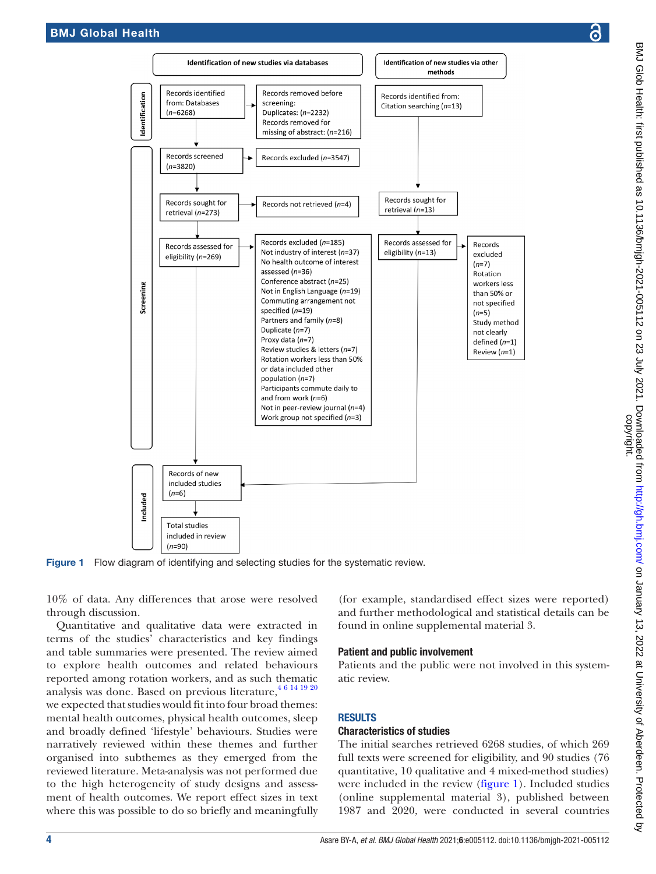

Figure 1 Flow diagram of identifying and selecting studies for the systematic review.

10% of data. Any differences that arose were resolved through discussion.

Quantitative and qualitative data were extracted in terms of the studies' characteristics and key findings and table summaries were presented. The review aimed to explore health outcomes and related behaviours reported among rotation workers, and as such thematic analysis was done. Based on previous literature,  $46141920$ we expected that studies would fit into four broad themes: mental health outcomes, physical health outcomes, sleep and broadly defined 'lifestyle' behaviours. Studies were narratively reviewed within these themes and further organised into subthemes as they emerged from the reviewed literature. Meta-analysis was not performed due to the high heterogeneity of study designs and assessment of health outcomes. We report effect sizes in text where this was possible to do so briefly and meaningfully

<span id="page-3-0"></span>(for example, standardised effect sizes were reported) and further methodological and statistical details can be found in [online supplemental material 3.](https://dx.doi.org/10.1136/bmjgh-2021-005112)

#### Patient and public involvement

Patients and the public were not involved in this systematic review.

# RESULTS

#### Characteristics of studies

The initial searches retrieved 6268 studies, of which 269 full texts were screened for eligibility, and 90 studies (76 quantitative, 10 qualitative and 4 mixed-method studies) were included in the review ([figure](#page-3-0) 1). Included studies [\(online supplemental material 3](https://dx.doi.org/10.1136/bmjgh-2021-005112)), published between 1987 and 2020, were conducted in several countries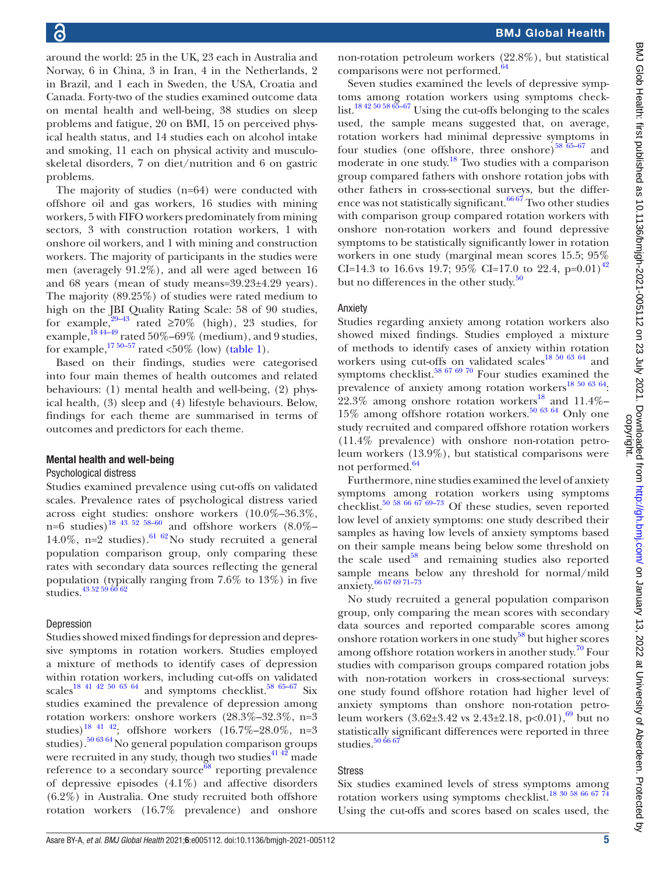around the world: 25 in the UK, 23 each in Australia and Norway, 6 in China, 3 in Iran, 4 in the Netherlands, 2 in Brazil, and 1 each in Sweden, the USA, Croatia and Canada. Forty-two of the studies examined outcome data on mental health and well-being, 38 studies on sleep problems and fatigue, 20 on BMI, 15 on perceived physical health status*,* and 14 studies each on alcohol intake and smoking, 11 each on physical activity and musculoskeletal disorders, 7 on diet/nutrition and 6 on gastric problems.

The majority of studies (n=64) were conducted with offshore oil and gas workers, 16 studies with mining workers, 5 with FIFO workers predominately from mining sectors, 3 with construction rotation workers, 1 with onshore oil workers, and 1 with mining and construction workers. The majority of participants in the studies were men (averagely 91.2%), and all were aged between 16 and 68 years (mean of study means=39.23±4.29 years). The majority (89.25%) of studies were rated medium to high on the JBI Quality Rating Scale: 58 of 90 studies, for example,<sup>29–43</sup> rated ≥70% (high), 23 studies, for example, $^{18\,44-49}$  rated 50%–69% (medium), and 9 studies, for example,  $\frac{1750-57}{1750}$  rated <50% (low) ([table](#page-5-0) 1).

Based on their findings, studies were categorised into four main themes of health outcomes and related behaviours: (1) mental health and well-being, (2) physical health, (3) sleep and (4) lifestyle behaviours. Below, findings for each theme are summarised in terms of outcomes and predictors for each theme.

#### Mental health and well-being

#### Psychological distress

Studies examined prevalence using cut-offs on validated scales. Prevalence rates of psychological distress varied across eight studies: onshore workers (10.0%–36.3%, n=6 studies)<sup>18 43 52 58–60</sup> and offshore workers  $(8.0\% -$ 14.0%, n=2 studies).<sup>[61 62](#page-20-2)</sup> No study recruited a general population comparison group, only comparing these rates with secondary data sources reflecting the general population (typically ranging from 7.6% to 13%) in five studies.<sup>43</sup> <sup>52</sup> <sup>59</sup> <sup>60</sup> <sup>62</sup>

#### Depression

Studies showed mixed findings for depression and depressive symptoms in rotation workers. Studies employed a mixture of methods to identify cases of depression within rotation workers, including cut-offs on validated scales<sup>18 41 42 50 63 64</sup> and symptoms checklist.<sup>58 65-67</sup> Six studies examined the prevalence of depression among rotation workers: onshore workers (28.3%–32.3%, n=3 studies)<sup>18 41 42</sup>; offshore workers  $(16.7\% - 28.0\% , n=3$ studies).[50 63 64](#page-20-5)No general population comparison groups were recruited in any study, though two studies<sup> $41\frac{42}{2}$ </sup> made reference to a secondary source $68$  reporting prevalence of depressive episodes (4.1%) and affective disorders (6.2%) in Australia. One study recruited both offshore rotation workers (16.7% prevalence) and onshore

non-rotation petroleum workers (22.8%), but statistical comparisons were not performed.<sup>[64](#page-20-8)</sup>

Seven studies examined the levels of depressive symptoms among rotation workers using symptoms checklist.[18 42 50 58 65–67](#page-19-21) Using the cut-offs belonging to the scales used, the sample means suggested that, on average, rotation workers had minimal depressive symptoms in four studies (one offshore, three onshore)<sup>58 65–67</sup> and moderate in one study.<sup>[18](#page-19-21)</sup> Two studies with a comparison group compared fathers with onshore rotation jobs with other fathers in cross-sectional surveys, but the difference was not statistically significant.  $66\frac{67}{1}$  Two other studies with comparison group compared rotation workers with onshore non-rotation workers and found depressive symptoms to be statistically significantly lower in rotation workers in one study (marginal mean scores 15.5; 95% CI=14.3 to 16.6 vs 19.7; 95% CI=17.0 to 22.4, p=0.01)<sup>42</sup> but no differences in the other study. $50$ 

#### Anxiety

Studies regarding anxiety among rotation workers also showed mixed findings. Studies employed a mixture of methods to identify cases of anxiety within rotation workers using cut-offs on validated scales<sup>18 50 63 64</sup> and symptoms checklist.<sup>58 67 69 70</sup> Four studies examined the prevalence of anxiety among rotation workers<sup>18 50 63 64</sup>: 22.3% among onshore rotation workers<sup>18</sup> and 11.4%– 15% among offshore rotation workers.<sup>[50 63 64](#page-20-5)</sup> Only one study recruited and compared offshore rotation workers (11.4% prevalence) with onshore non-rotation petroleum workers (13.9%), but statistical comparisons were not performed.<sup>64</sup>

Furthermore, nine studies examined the level of anxiety symptoms among rotation workers using symptoms checklist.<sup>50 58 66 67</sup> 69–73 Of these studies, seven reported low level of anxiety symptoms: one study described their samples as having low levels of anxiety symptoms based on their sample means being below some threshold on the scale used $58$  and remaining studies also reported sample means below any threshold for normal/mild anxiety.[66 67 69 71–73](#page-20-9)

No study recruited a general population comparison group, only comparing the mean scores with secondary data sources and reported comparable scores among onshore rotation workers in one study<sup>58</sup> but higher scores among offshore rotation workers in another study.<sup>70</sup> Four studies with comparison groups compared rotation jobs with non-rotation workers in cross-sectional surveys: one study found offshore rotation had higher level of anxiety symptoms than onshore non-rotation petroleum workers  $(3.62\pm3.42 \text{ vs } 2.43\pm2.18, \text{ p}<0.01),$ <sup>[69](#page-20-12)</sup> but no statistically significant differences were reported in three studies. $50\,66\,67$ 

#### Stress

Six studies examined levels of stress symptoms among rotation workers using symptoms checklist.<sup>18 30</sup> <sup>58 66 67</sup> <sup>74</sup> Using the cut-offs and scores based on scales used, the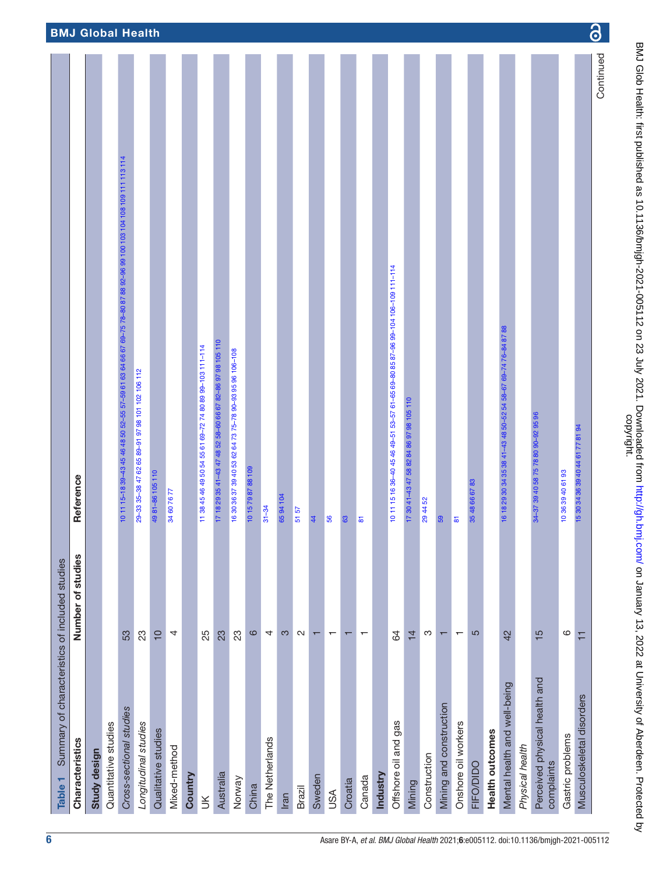<span id="page-5-0"></span>

| Summary of characteristics of included studies<br>Table <sub>1</sub> |                          |                                                                                                                 |                          |
|----------------------------------------------------------------------|--------------------------|-----------------------------------------------------------------------------------------------------------------|--------------------------|
| Characteristics                                                      | Number of studies        | Reference                                                                                                       |                          |
| Study design                                                         |                          |                                                                                                                 |                          |
| Quantitative studies                                                 |                          |                                                                                                                 |                          |
| Cross-sectional studies                                              | 53                       | 10 11 15-18 39-43 45 46 48 50 52-55 57-59 61 63 64 66 67 69-75 78-80 87 88 92-96 99 100 103 104 109 111 113 114 | <b>BMJ Global Health</b> |
| Longitudinal studies                                                 | 23                       | 29-33 35-38 47 62 65 89-91 97 98 101 102 106 112                                                                |                          |
| Qualitative studies                                                  | $\overline{10}$          | 49 81-86 105 110                                                                                                |                          |
| Mixed-method                                                         | 4                        | 34 60 76 77                                                                                                     |                          |
| Country                                                              |                          |                                                                                                                 |                          |
| $\leq$                                                               | 25                       | 11 38 45 46 49 50 54 55 61 69-72 74 80 89 99-103 111-114                                                        |                          |
| Australia                                                            | 23                       | 17 18 29 35 41-43 47 48 52 58-60 66 67 82-86 97 98 105 110                                                      |                          |
| Norway                                                               | 23                       | 16 30 36 37 39 40 53 62 64 73 75-78 90-93 95 96 106-108                                                         |                          |
| China                                                                | $\circ$                  | 10 15 79 87 88 109                                                                                              |                          |
| The Netherlands                                                      | 4                        | $31 - 34$                                                                                                       |                          |
| Iran                                                                 | S                        | 6594104                                                                                                         |                          |
| Brazil                                                               | $\sim$                   | 5157                                                                                                            |                          |
| Sweden                                                               | $\overline{\phantom{0}}$ | 44                                                                                                              |                          |
| <b>ASU</b>                                                           | $\overline{\phantom{0}}$ | 56                                                                                                              |                          |
| Croatia                                                              | $\mathbf{\tau}$          | 63                                                                                                              |                          |
| Canada                                                               | $\overline{\phantom{0}}$ | $\overline{\bullet}$                                                                                            |                          |
| Industry                                                             |                          |                                                                                                                 |                          |
| Offshore oil and gas                                                 | 84                       | 10 11 15 16 36-40 45 46 49-51 53-57 61-65 69-80 85 87-96 99-104 106-109 111-114                                 |                          |
| Mining                                                               | $\frac{1}{4}$            | 17 30 41-43 47 58 82 84 86 97 98 105 110                                                                        |                          |
| Construction                                                         | က                        | 294452                                                                                                          |                          |
| Mining and construction                                              | $\overline{\phantom{0}}$ | 59                                                                                                              |                          |
| Onshore oil workers                                                  | $\overline{\phantom{0}}$ | $\overline{5}$                                                                                                  |                          |
| FIFO/DIDO                                                            | 5                        | 35 48 66 67 83                                                                                                  |                          |
| Health outcomes                                                      |                          |                                                                                                                 |                          |
| Mental health and well-being                                         | 42                       | 16 18 29 30 34 35 38 41-43 48 50-52 54 58-67 69-74 76-84 87 88                                                  |                          |
| Physical health                                                      |                          |                                                                                                                 |                          |
| Perceived physical health and<br>complaints                          | $\frac{5}{5}$            | 34-37 39 40 58 75 78 80 90-92 95 96                                                                             |                          |
| Gastric problems                                                     | ဖ                        | 10 36 39 40 61 93                                                                                               |                          |
| Musculoskeletal disorders                                            | Ξ                        | 15 30 34 36 39 40 44 61 77 81 94                                                                                |                          |
|                                                                      |                          | Continued                                                                                                       | $\boldsymbol{\odot}$     |

 $\overline{\phantom{a}}$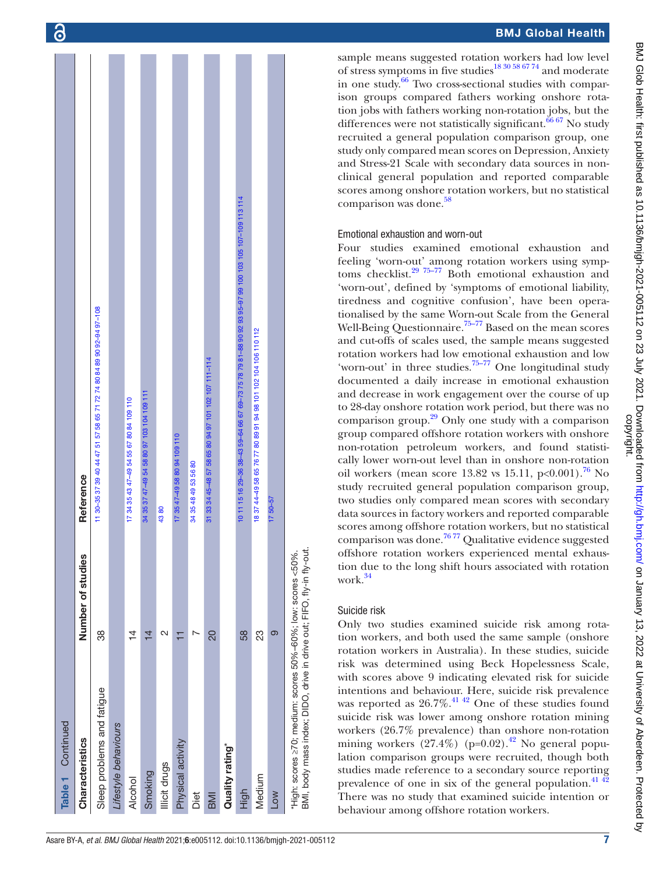| Table 1 Continued                                                                                                                     |                   |                                                                                                        |
|---------------------------------------------------------------------------------------------------------------------------------------|-------------------|--------------------------------------------------------------------------------------------------------|
| Characteristics                                                                                                                       | Number of studies | Reference                                                                                              |
| Sleep problems and fatigue                                                                                                            | 38                | 11 30-35 37 39 40 44 47 51 57 58 65 71 72 74 80 84 89 90 92-94 97-108                                  |
| Lifestyle behaviours                                                                                                                  |                   |                                                                                                        |
| <b>Alcohol</b>                                                                                                                        | $\frac{1}{4}$     | 17 34 35 43 47-49 54 55 67 80 84 109 110                                                               |
| Smoking                                                                                                                               | $\overline{4}$    | 34 35 37 47-49 54 58 80 97 103 104 109 111                                                             |
| Illicit drugs                                                                                                                         | N                 | 4380                                                                                                   |
| Physical activity                                                                                                                     | H                 | 17 35 47-49 58 80 94 109 110                                                                           |
| Diet                                                                                                                                  |                   | 34 35 48 49 53 56 80                                                                                   |
| BMI                                                                                                                                   | 20                | 31 33 34 45-48 57 58 65 80 94 97 101 102 107 111-114                                                   |
| Quality rating*                                                                                                                       |                   |                                                                                                        |
| High                                                                                                                                  | 58                | 10 11 15 16 29-36 38-43 59-64 66 67 69-73 75 78 79 81-88 90 92 93 95-97 99 100 103 105 107-109 113 114 |
| Medium                                                                                                                                | 23                | 18 37 44-49 58 65 76 77 80 89 91 94 98 101 102 104 106 110 112                                         |
| Low                                                                                                                                   | $\infty$          | $1750 - 57$                                                                                            |
| BMI, body mass index; DIDO, drive in drive out; FIFO, fly-in fly-out.<br>"High: scores ≥70; medium: scores 50%-60%; low: scores <50%. |                   |                                                                                                        |

sample means suggested rotation workers had low level of stress symptoms in five studies<sup>18 30 58 67</sup> 74 and moderate in one study. $66$  Two cross-sectional studies with comparison groups compared fathers working onshore rotation jobs with fathers working non-rotation jobs, but the differences were not statistically significant.<sup>66 67</sup> No study recruited a general population comparison group, one study only compared mean scores on Depression, Anxiety and Stress-21 Scale with secondary data sources in nonclinical general population and reported comparable scores among onshore rotation workers, but no statistical comparison was done.<sup>[58](#page-20-4)</sup>

#### Emotional exhaustion and worn-out

Four studies examined emotional exhaustion and feeling 'worn-out' among rotation workers using symp-toms checklist.<sup>[29 75–77](#page-20-1)</sup> Both emotional exhaustion and 'worn-out', defined by 'symptoms of emotional liability, tiredness and cognitive confusion', have been operationalised by the same Worn-out Scale from the General Well-Being Questionnaire.<sup>75–77</sup> Based on the mean scores and cut-offs of scales used, the sample means suggested rotation workers had low emotional exhaustion and low 'worn-out' in three studies.<sup>75–77</sup> One longitudinal study documented a daily increase in emotional exhaustion and decrease in work engagement over the course of up to 28-day onshore rotation work period, but there was no comparison group.[29](#page-20-1) Only one study with a comparison group compared offshore rotation workers with onshore non-rotation petroleum workers, and found statisti cally lower worn-out level than in onshore non-rotation oil workers (mean score 13.82 vs 15.11,  $p < 0.001$ ).<sup>76</sup> No study recruited general population comparison group, two studies only compared mean scores with secondary data sources in factory workers and reported comparable scores among offshore rotation workers, but no statistical comparison was done.<sup>[76 77](#page-20-25)</sup> Qualitative evidence suggested offshore rotation workers experienced mental exhaus tion due to the long shift hours associated with rotation work.<sup>[34](#page-20-14)</sup>

# Suicide risk

Only two studies examined suicide risk among rotation workers, and both used the same sample (onshore rotation workers in Australia). In these studies, suicide risk was determined using Beck Hopelessness Scale, with scores above 9 indicating elevated risk for suicide intentions and behaviour. Here, suicide risk prevalence was reported as  $26.7\%$ .<sup>41 42</sup> One of these studies found suicide risk was lower among onshore rotation mining workers (26.7% prevalence) than onshore non-rotation mining workers  $(27.4\%)$  (p=0.02).<sup>42</sup> No general population comparison groups were recruited, though both studies made reference to a secondary source reporting prevalence of one in six of the general population. $41\frac{42}{2}$ There was no study that examined suicide intention or behaviour among offshore rotation workers.

7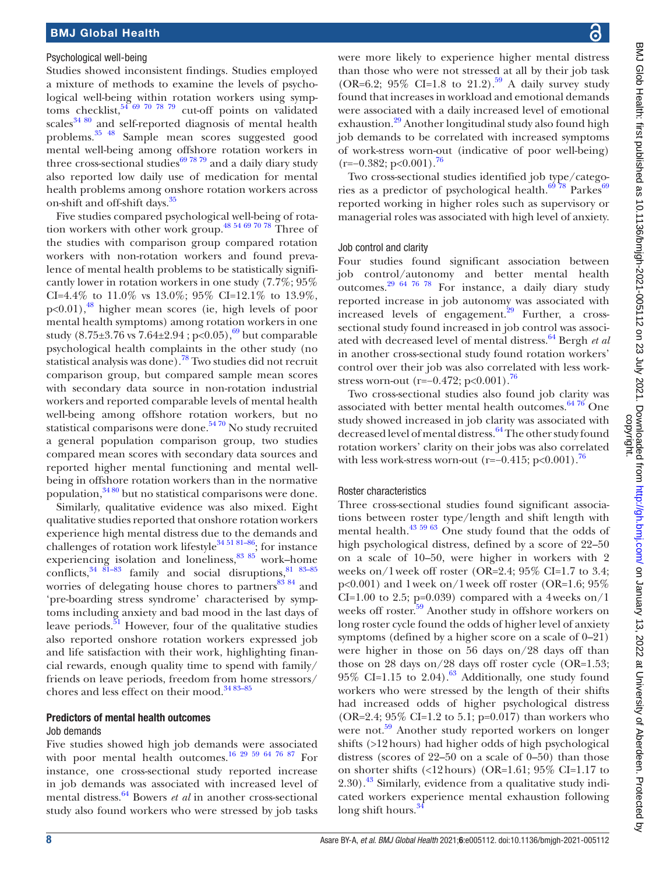#### Psychological well-being

Studies showed inconsistent findings. Studies employed a mixture of methods to examine the levels of psychological well-being within rotation workers using symptoms checklist, $54^{69}$  70 78 79 cut-off points on validated  $scales<sup>34 80</sup>$  $scales<sup>34 80</sup>$  $scales<sup>34 80</sup>$  and self-reported diagnosis of mental health problems.[35 48](#page-20-23) Sample mean scores suggested good mental well-being among offshore rotation workers in three cross-sectional studies $\frac{69}{7879}$  and a daily diary study also reported low daily use of medication for mental health problems among onshore rotation workers across on-shift and off-shift days.[35](#page-20-23)

Five studies compared psychological well-being of rotation workers with other work group.[48 54 69 70 78](#page-20-27) Three of the studies with comparison group compared rotation workers with non-rotation workers and found prevalence of mental health problems to be statistically significantly lower in rotation workers in one study (7.7%; 95% CI=4.4% to 11.0% vs 13.0%; 95% CI=12.1% to 13.9%, p<0.01),<sup>48</sup> higher mean scores (ie, high levels of poor mental health symptoms) among rotation workers in one study  $(8.75\pm3.76 \text{ vs } 7.64\pm2.94 \text{ ; } p<0.05)$ ,<sup>69</sup> but comparable psychological health complaints in the other study (no statistical analysis was done).[78](#page-20-28) Two studies did not recruit comparison group, but compared sample mean scores with secondary data source in non-rotation industrial workers and reported comparable levels of mental health well-being among offshore rotation workers, but no statistical comparisons were done.<sup>5470</sup> No study recruited a general population comparison group, two studies compared mean scores with secondary data sources and reported higher mental functioning and mental wellbeing in offshore rotation workers than in the normative population,[34 80](#page-20-14) but no statistical comparisons were done.

Similarly, qualitative evidence was also mixed. Eight qualitative studies reported that onshore rotation workers experience high mental distress due to the demands and challenges of rotation work lifestyle<sup>34 51 81-86</sup>; for instance experiencing isolation and loneliness, $8385$  work–home conflicts,  $34 \overline{81} - 83$  family and social disruptions,  $81 \overline{83} - 85$ worries of delegating house chores to partners $83\frac{84}{1}$  and 'pre-boarding stress syndrome' characterised by symptoms including anxiety and bad mood in the last days of leave periods. $51$  However, four of the qualitative studies also reported onshore rotation workers expressed job and life satisfaction with their work, highlighting financial rewards, enough quality time to spend with family/ friends on leave periods, freedom from home stressors/ chores and less effect on their mood.<sup>34 83-85</sup>

#### Predictors of mental health outcomes

#### Job demands

Five studies showed high job demands were associated with poor mental health outcomes.<sup>16 29 59 64 76 87</sup> For instance, one cross-sectional study reported increase in job demands was associated with increased level of mental distress.[64](#page-20-8) Bowers *et al* in another cross-sectional study also found workers who were stressed by job tasks

were more likely to experience higher mental distress than those who were not stressed at all by their job task (OR=6.2; 95% CI=1.8 to 21.2).<sup>59</sup> A daily survey study found that increases in workload and emotional demands were associated with a daily increased level of emotional exhaustion.<sup>29</sup> Another longitudinal study also found high job demands to be correlated with increased symptoms of work-stress worn-out (indicative of poor well-being)  $(r=-0.382; p<0.001).$ <sup>[76](#page-20-25)</sup>

Two cross-sectional studies identified job type/catego-ries as a predictor of psychological health.<sup>[69](#page-20-12)</sup> <sup>78</sup> Parkes<sup>69</sup> reported working in higher roles such as supervisory or managerial roles was associated with high level of anxiety.

#### Job control and clarity

Four studies found significant association between job control/autonomy and better mental health outcomes.<sup>29 64 76 78</sup> For instance, a daily diary study reported increase in job autonomy was associated with increased levels of engagement.<sup>29</sup> Further, a crosssectional study found increased in job control was associated with decreased level of mental distress.[64](#page-20-8) Bergh *et al* in another cross-sectional study found rotation workers' control over their job was also correlated with less workstress worn-out (r=−0.472; p<0.001).<sup>76</sup>

Two cross-sectional studies also found job clarity was associated with better mental health outcomes. $64\%$  One study showed increased in job clarity was associated with decreased level of mental distress.<sup>64</sup> The other study found rotation workers' clarity on their jobs was also correlated with less work-stress worn-out (r=−0.415; p<0.001).<sup>76</sup>

#### Roster characteristics

Three cross-sectional studies found significant associations between roster type/length and shift length with mental health.<sup>[43 59 63](#page-20-3)</sup> One study found that the odds of high psychological distress, defined by a score of 22–50 on a scale of 10–50, were higher in workers with 2 weeks on/1week off roster (OR=2.4;  $95\%$  CI=1.7 to 3.4; p<0.001) and 1week on/1week off roster (OR=1.6; 95% CI=1.00 to 2.5; p=0.039) compared with a 4weeks on/1 weeks off roster.<sup>59</sup> Another study in offshore workers on long roster cycle found the odds of higher level of anxiety symptoms (defined by a higher score on a scale of 0–21) were higher in those on 56 days on/28 days off than those on 28 days on/28 days off roster cycle (OR=1.53;  $95\%$  CI=1.15 to 2.04).<sup>63</sup> Additionally, one study found workers who were stressed by the length of their shifts had increased odds of higher psychological distress (OR=2.4;  $95\%$  CI=1.2 to 5.1; p=0.017) than workers who were not.<sup>59</sup> Another study reported workers on longer shifts (>12hours) had higher odds of high psychological distress (scores of 22–50 on a scale of 0–50) than those on shorter shifts (<12hours) (OR=1.61; 95% CI=1.17 to 2.30).<sup>43</sup> Similarly, evidence from a qualitative study indicated workers experience mental exhaustion following long shift hours. $34$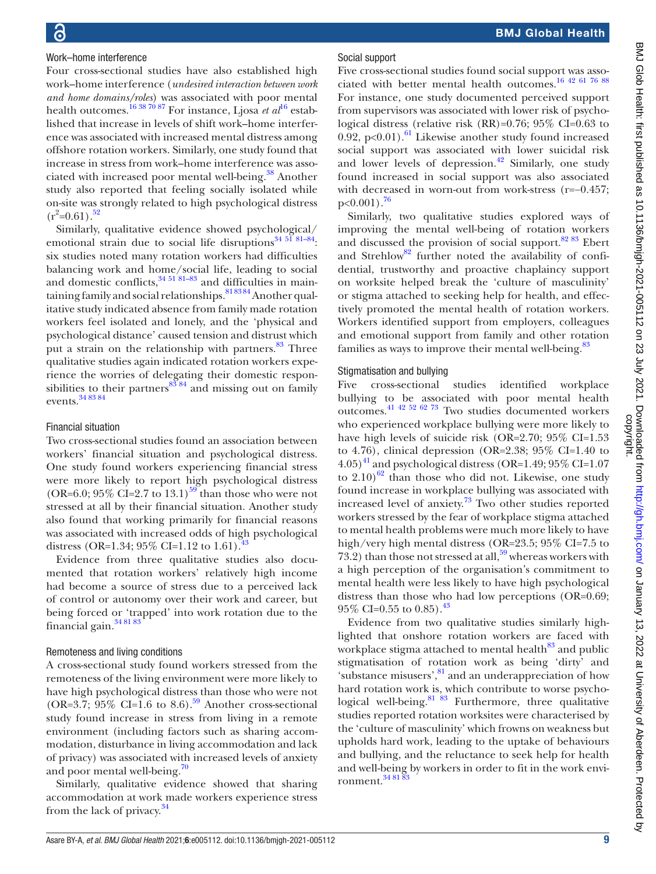### Work–home interference

Four cross-sectional studies have also established high work–home interference (*undesired interaction between work and home domains/roles*) was associated with poor mental health outcomes.<sup>[16](#page-19-22) 38 70 87</sup> For instance, Ljosa *et al*<sup>16</sup> established that increase in levels of shift work–home interference was associated with increased mental distress among offshore rotation workers. Similarly, one study found that increase in stress from work–home interference was associated with increased poor mental well-being.<sup>38</sup> Another study also reported that feeling socially isolated while on-site was strongly related to high psychological distress  $(r^2=0.61).$ <sup>52</sup>

Similarly, qualitative evidence showed psychological/ emotional strain due to social life disruptions<sup>34 51 81-84</sup>: six studies noted many rotation workers had difficulties balancing work and home/social life, leading to social and domestic conflicts,  $34\frac{51\,81-83}{81-83}$  and difficulties in maintaining family and social relationships.  $818384$  Another qualitative study indicated absence from family made rotation workers feel isolated and lonely, and the 'physical and psychological distance' caused tension and distrust which put a strain on the relationship with partners.<sup>83</sup> Three qualitative studies again indicated rotation workers experience the worries of delegating their domestic responsibilities to their partners $^{83}$   $^{84}$  and missing out on family events.[34 83 84](#page-20-14)

#### Financial situation

Two cross-sectional studies found an association between workers' financial situation and psychological distress. One study found workers experiencing financial stress were more likely to report high psychological distress (OR=6.0; 95% CI=2.7 to 13.1)<sup>59</sup> than those who were not stressed at all by their financial situation. Another study also found that working primarily for financial reasons was associated with increased odds of high psychological distress (OR=1.34; 95% CI=1.12 to 1.61).<sup>4</sup>

Evidence from three qualitative studies also documented that rotation workers' relatively high income had become a source of stress due to a perceived lack of control or autonomy over their work and career, but being forced or 'trapped' into work rotation due to the financial gain.<sup>[34 81 83](#page-20-14)</sup>

#### Remoteness and living conditions

A cross-sectional study found workers stressed from the remoteness of the living environment were more likely to have high psychological distress than those who were not (OR=3.7;  $95\%$  CI=1.6 to 8.6).<sup>59</sup> Another cross-sectional study found increase in stress from living in a remote environment (including factors such as sharing accommodation, disturbance in living accommodation and lack of privacy) was associated with increased levels of anxiety and poor mental well-being. $\frac{70}{2}$  $\frac{70}{2}$  $\frac{70}{2}$ 

Similarly, qualitative evidence showed that sharing accommodation at work made workers experience stress from the lack of privacy.[34](#page-20-14)

#### Social support

Five cross-sectional studies found social support was associated with better mental health outcomes.[16 42 61 76 88](#page-19-22) For instance, one study documented perceived support from supervisors was associated with lower risk of psychological distress (relative risk (RR)=0.76; 95% CI=0.63 to 0.92, p<0.01).<sup>[61](#page-20-2)</sup> Likewise another study found increased social support was associated with lower suicidal risk and lower levels of depression. $42$  Similarly, one study found increased in social support was also associated with decreased in worn-out from work-stress (r=−0.457;  $p<0.001$ ).<sup>[76](#page-20-25)</sup>

Similarly, two qualitative studies explored ways of improving the mental well-being of rotation workers and discussed the provision of social support. $8283$  Ebert and Strehlow<sup>82</sup> further noted the availability of confidential, trustworthy and proactive chaplaincy support on worksite helped break the 'culture of masculinity' or stigma attached to seeking help for health, and effectively promoted the mental health of rotation workers. Workers identified support from employers, colleagues and emotional support from family and other rotation families as ways to improve their mental well-being. $83$ 

#### Stigmatisation and bullying

Five cross-sectional studies identified workplace bullying to be associated with poor mental health outcomes[.41 42 52 62 73](#page-20-6) Two studies documented workers who experienced workplace bullying were more likely to have high levels of suicide risk (OR=2.70; 95% CI=1.53 to 4.76), clinical depression (OR=2.38;  $95\%$  CI=1.40 to  $(4.05)^{41}$  and psychological distress (OR=1.49; 95\% CI=1.07 to  $2.10$ <sup>62</sup> than those who did not. Likewise, one study found increase in workplace bullying was associated with increased level of anxiety.[73](#page-20-33) Two other studies reported workers stressed by the fear of workplace stigma attached to mental health problems were much more likely to have high/very high mental distress (OR=23.5; 95% CI=7.5 to 73.2) than those not stressed at all,  $59$  whereas workers with a high perception of the organisation's commitment to mental health were less likely to have high psychological distress than those who had low perceptions (OR=0.69;  $95\%$  CI=0.55 to 0.85).<sup>[43](#page-20-3)</sup>

Evidence from two qualitative studies similarly highlighted that onshore rotation workers are faced with workplace stigma attached to mental health<sup>83</sup> and public stigmatisation of rotation work as being 'dirty' and 'substance misusers',<sup>[81](#page-20-21)</sup> and an underappreciation of how hard rotation work is, which contribute to worse psychological well-being. $8183$  Furthermore, three qualitative studies reported rotation worksites were characterised by the 'culture of masculinity' which frowns on weakness but upholds hard work, leading to the uptake of behaviours and bullying, and the reluctance to seek help for health and well-being by workers in order to fit in the work environment.<sup>34 81</sup>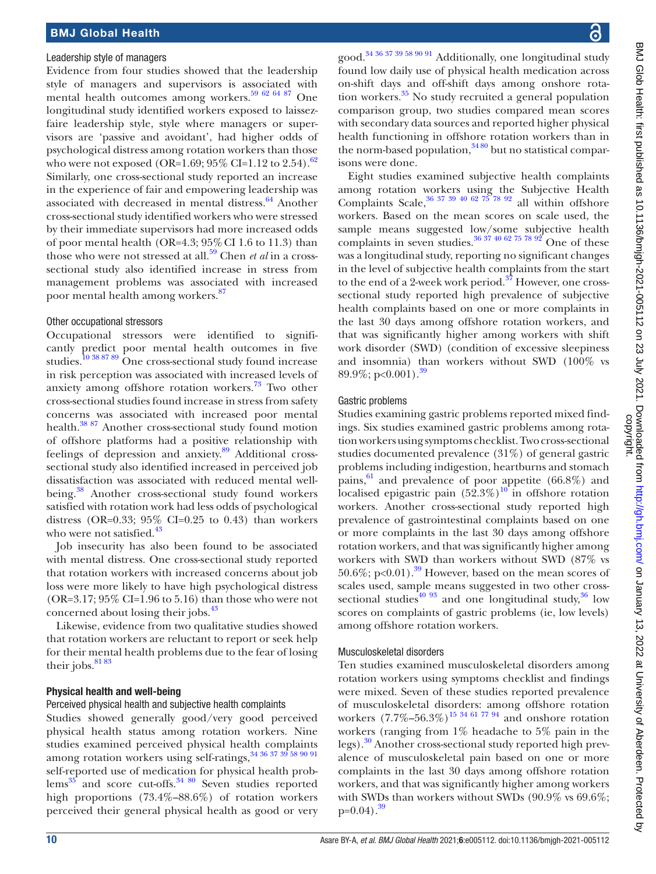#### Leadership style of managers

Evidence from four studies showed that the leadership style of managers and supervisors is associated with mental health outcomes among workers.[59 62 64 87](#page-20-22) One longitudinal study identified workers exposed to laissezfaire leadership style, style where managers or supervisors are 'passive and avoidant', had higher odds of psychological distress among rotation workers than those who were not exposed (OR=1.69;  $95\%$  CI=1.12 to 2.54).<sup>[62](#page-20-32)</sup> Similarly, one cross-sectional study reported an increase in the experience of fair and empowering leadership was associated with decreased in mental distress.<sup>[64](#page-20-8)</sup> Another cross-sectional study identified workers who were stressed by their immediate supervisors had more increased odds of poor mental health (OR=4.3;  $95\%$  CI 1.6 to 11.3) than those who were not stressed at all[.59](#page-20-22) Chen *et al* in a crosssectional study also identified increase in stress from management problems was associated with increased poor mental health among workers[.87](#page-21-1)

#### Other occupational stressors

Occupational stressors were identified to significantly predict poor mental health outcomes in five studies.<sup>10 38 87 89</sup> One cross-sectional study found increase in risk perception was associated with increased levels of anxiety among offshore rotation workers.<sup>[73](#page-20-33)</sup> Two other cross-sectional studies found increase in stress from safety concerns was associated with increased poor mental health.<sup>[38 87](#page-20-29)</sup> Another cross-sectional study found motion of offshore platforms had a positive relationship with feelings of depression and anxiety.<sup>[89](#page-21-2)</sup> Additional crosssectional study also identified increased in perceived job dissatisfaction was associated with reduced mental well-being.<sup>[38](#page-20-29)</sup> Another cross-sectional study found workers satisfied with rotation work had less odds of psychological distress (OR=0.33;  $95\%$  CI=0.25 to 0.43) than workers who were not satisfied.<sup>[43](#page-20-3)</sup>

Job insecurity has also been found to be associated with mental distress. One cross-sectional study reported that rotation workers with increased concerns about job loss were more likely to have high psychological distress  $(OR=3.17; 95\% CI=1.96$  to 5.16) than those who were not concerned about losing their jobs.<sup>43</sup>

Likewise, evidence from two qualitative studies showed that rotation workers are reluctant to report or seek help for their mental health problems due to the fear of losing their jobs.<sup>81</sup>83</sup>

#### Physical health and well-being

#### Perceived physical health and subjective health complaints

Studies showed generally good/very good perceived physical health status among rotation workers. Nine studies examined perceived physical health complaints among rotation workers using self-ratings,  $34\,36\,37\,39\,58\,90\,91$ self-reported use of medication for physical health prob- $lems<sup>35</sup>$  $lems<sup>35</sup>$  $lems<sup>35</sup>$  and score cut-offs.<sup>34 80</sup> Seven studies reported high proportions (73.4%–88.6%) of rotation workers perceived their general physical health as good or very good.[34 36 37 39 58 90 91](#page-20-14) Additionally, one longitudinal study found low daily use of physical health medication across on-shift days and off-shift days among onshore rotation workers. $35$  No study recruited a general population comparison group, two studies compared mean scores with secondary data sources and reported higher physical health functioning in offshore rotation workers than in the norm-based population,  $3480$  but no statistical comparisons were done.

Eight studies examined subjective health complaints among rotation workers using the Subjective Health Complaints Scale,  $36\frac{37\frac{39}{40}62\frac{75}{78}\frac{92}{92}}$  all within offshore workers. Based on the mean scores on scale used, the sample means suggested low/some subjective health complaints in seven studies.<sup>36 37</sup> 40 62 75 78 92 One of these was a longitudinal study, reporting no significant changes in the level of subjective health complaints from the start to the end of a 2-week work period.<sup>37</sup> However, one crosssectional study reported high prevalence of subjective health complaints based on one or more complaints in the last 30 days among offshore rotation workers, and that was significantly higher among workers with shift work disorder (SWD) (condition of excessive sleepiness and insomnia) than workers without SWD (100% vs 89.9%; p<0.001).<sup>[39](#page-20-36)</sup>

#### Gastric problems

Studies examining gastric problems reported mixed findings. Six studies examined gastric problems among rotation workers using symptoms checklist. Two cross-sectional studies documented prevalence (31%) of general gastric problems including indigestion, heartburns and stomach pains,  $61$  and prevalence of poor appetite (66.8%) and localised epigastric pain  $(52.3\%)^{10}$  in offshore rotation workers. Another cross-sectional study reported high prevalence of gastrointestinal complaints based on one or more complaints in the last 30 days among offshore rotation workers, and that was significantly higher among workers with SWD than workers without SWD (87% vs 50.6%; p<0.01).<sup>39</sup> However, based on the mean scores of scales used, sample means suggested in two other crosssectional studies<sup>40 93</sup> and one longitudinal study,  $36 \text{ low}$ scores on complaints of gastric problems (ie, low levels) among offshore rotation workers.

#### Musculoskeletal disorders

Ten studies examined musculoskeletal disorders among rotation workers using symptoms checklist and findings were mixed. Seven of these studies reported prevalence of musculoskeletal disorders: among offshore rotation workers  $(7.7\% - 56.3\%)$ <sup>[15 34 61 77 94](#page-19-23)</sup> and onshore rotation workers (ranging from 1% headache to 5% pain in the legs).[30](#page-20-38) Another cross-sectional study reported high prevalence of musculoskeletal pain based on one or more complaints in the last 30 days among offshore rotation workers, and that was significantly higher among workers with SWDs than workers without SWDs (90.9% vs 69.6%;  $p=0.04$ ).<sup>[39](#page-20-36)</sup>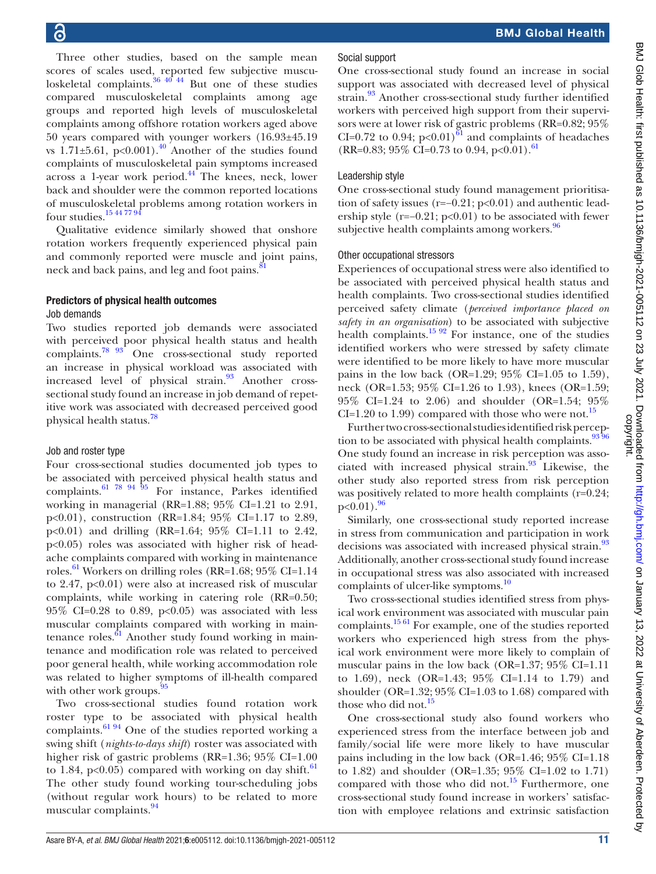Three other studies, based on the sample mean scores of scales used, reported few subjective musculoskeletal complaints. $36 \frac{40}{44}$  But one of these studies compared musculoskeletal complaints among age groups and reported high levels of musculoskeletal complaints among offshore rotation workers aged above 50 years compared with younger workers (16.93±45.19 vs 1.71 $\pm$ 5.61, p<0.001).<sup>40</sup> Another of the studies found complaints of musculoskeletal pain symptoms increased across a 1-year work period.<sup>44</sup> The knees, neck, lower back and shoulder were the common reported locations of musculoskeletal problems among rotation workers in four studies.[15 44 77 94](#page-19-23)

Qualitative evidence similarly showed that onshore rotation workers frequently experienced physical pain and commonly reported were muscle and joint pains, neck and back pains, and leg and foot pains. $\frac{8}{3}$ 

# Predictors of physical health outcomes

### Job demands

Two studies reported job demands were associated with perceived poor physical health status and health complaints.<sup>78 93</sup> One cross-sectional study reported an increase in physical workload was associated with increased level of physical strain.<sup>93</sup> Another crosssectional study found an increase in job demand of repetitive work was associated with decreased perceived good physical health status.<sup>[78](#page-20-28)</sup>

#### Job and roster type

Four cross-sectional studies documented job types to be associated with perceived physical health status and complaints.  $61\frac{78}{94}$   $94\frac{95}{95}$  For instance, Parkes identified working in managerial (RR=1.88; 95% CI=1.21 to 2.91, p<0.01), construction (RR=1.84; 95% CI=1.17 to 2.89, p<0.01) and drilling (RR=1.64; 95% CI=1.11 to 2.42, p<0.05) roles was associated with higher risk of headache complaints compared with working in maintenance roles.<sup>[61](#page-20-2)</sup> Workers on drilling roles (RR=1.68;  $95\%$  CI=1.14 to 2.47, p<0.01) were also at increased risk of muscular complaints, while working in catering role (RR=0.50;  $95\%$  CI=0.28 to 0.89, p<0.05) was associated with less muscular complaints compared with working in maintenance roles. $61$  Another study found working in maintenance and modification role was related to perceived poor general health, while working accommodation role was related to higher symptoms of ill-health compared with other work groups. $95$ 

Two cross-sectional studies found rotation work roster type to be associated with physical health complaints. $61.94$  One of the studies reported working a swing shift (*nights-to-days shift*) roster was associated with higher risk of gastric problems (RR=1.36; 95% CI=1.00) to 1.84,  $p<0.05$ ) compared with working on day shift.<sup>[61](#page-20-2)</sup> The other study found working tour-scheduling jobs (without regular work hours) to be related to more muscular complaints.<sup>[94](#page-21-5)</sup>

### Social support

One cross-sectional study found an increase in social support was associated with decreased level of physical strain.<sup>93</sup> Another cross-sectional study further identified workers with perceived high support from their supervisors were at lower risk of gastric problems (RR=0.82; 95% CI=0.72 to 0.94;  $p<0.01$ <sup>61</sup> and complaints of headaches  $(RR=0.83; 95\% \text{ CI} = 0.73 \text{ to } 0.94, \text{ p} < 0.01).$ <sup>61</sup>

#### Leadership style

One cross-sectional study found management prioritisation of safety issues (r=−0.21; p<0.01) and authentic leadership style (r= $-0.21$ ; p<0.01) to be associated with fewer subjective health complaints among workers. $96$ 

#### Other occupational stressors

Experiences of occupational stress were also identified to be associated with perceived physical health status and health complaints. Two cross-sectional studies identified perceived safety climate (*perceived importance placed on safety in an organisation*) to be associated with subjective health complaints.<sup>15 92</sup> For instance, one of the studies identified workers who were stressed by safety climate were identified to be more likely to have more muscular pains in the low back (OR=1.29;  $95\%$  CI=1.05 to 1.59), neck (OR=1.53; 95% CI=1.26 to 1.93), knees (OR=1.59; 95% CI=1.24 to 2.06) and shoulder (OR=1.54; 95% CI=1.20 to 1.99) compared with those who were not.<sup>[15](#page-19-23)</sup>

Further two cross-sectional studies identified risk percep-tion to be associated with physical health complaints.<sup>[93 96](#page-21-3)</sup> One study found an increase in risk perception was associated with increased physical strain. $93$  Likewise, the other study also reported stress from risk perception was positively related to more health complaints (r=0.24;  $p<0.01$ ).  $96$ 

Similarly, one cross-sectional study reported increase in stress from communication and participation in work decisions was associated with increased physical strain.<sup>93</sup> Additionally, another cross-sectional study found increase in occupational stress was also associated with increased complaints of ulcer-like symptoms.<sup>10</sup>

Two cross-sectional studies identified stress from physical work environment was associated with muscular pain complaints.<sup>15 61</sup> For example, one of the studies reported workers who experienced high stress from the physical work environment were more likely to complain of muscular pains in the low back (OR=1.37; 95% CI=1.11 to 1.69), neck (OR=1.43; 95% CI=1.14 to 1.79) and shoulder (OR= $1.32$ ;  $95\%$  CI= $1.03$  to  $1.68$ ) compared with those who did not.<sup>[15](#page-19-23)</sup>

One cross-sectional study also found workers who experienced stress from the interface between job and family/social life were more likely to have muscular pains including in the low back (OR=1.46; 95% CI=1.18 to 1.82) and shoulder (OR=1.35; 95% CI=1.02 to 1.71) compared with those who did not.<sup>15</sup> Furthermore, one cross-sectional study found increase in workers' satisfaction with employee relations and extrinsic satisfaction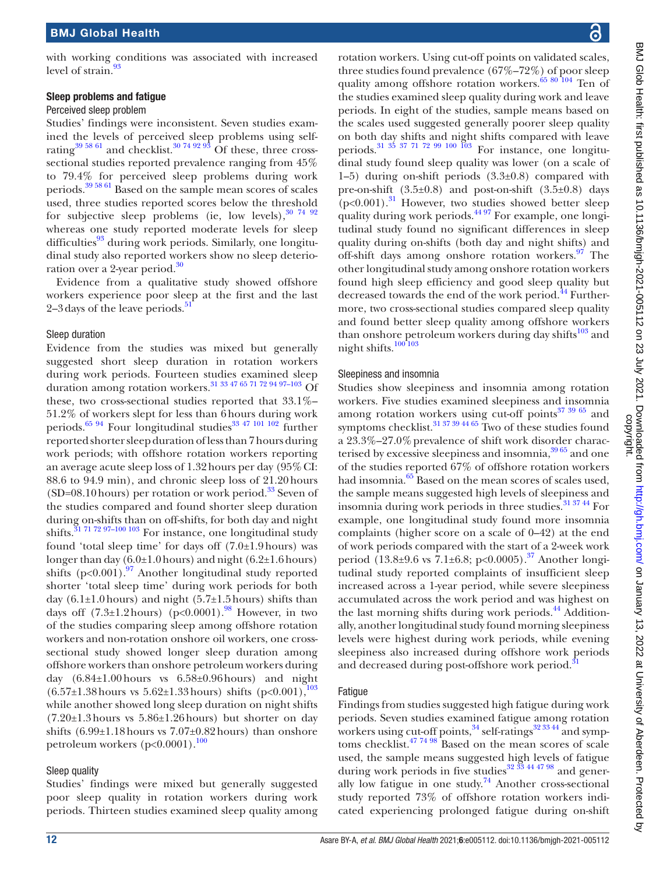with working conditions was associated with increased level of strain.<sup>9</sup>

#### Sleep problems and fatigue

#### Perceived sleep problem

Studies' findings were inconsistent. Seven studies examined the levels of perceived sleep problems using selfrating<sup>39 58 61</sup> and checklist.<sup>30 74 92 93</sup> Of these, three crosssectional studies reported prevalence ranging from 45% to 79.4% for perceived sleep problems during work periods.[39 58 61](#page-20-36) Based on the sample mean scores of scales used, three studies reported scores below the threshold for subjective sleep problems (ie, low levels),  $30\frac{74}{92}$ whereas one study reported moderate levels for sleep difficulties<sup>93</sup> during work periods. Similarly, one longitudinal study also reported workers show no sleep deterio-ration over a 2-year period.<sup>[30](#page-20-38)</sup>

Evidence from a qualitative study showed offshore workers experience poor sleep at the first and the last  $2-3$  days of the leave periods.<sup>[51](#page-20-17)</sup>

#### Sleep duration

Evidence from the studies was mixed but generally suggested short sleep duration in rotation workers during work periods. Fourteen studies examined sleep duration among rotation workers.<sup>[31 33 47 65 71 72 94 97–103](#page-20-15)</sup> Of these, two cross-sectional studies reported that 33.1%– 51.2% of workers slept for less than 6hours during work periods.<sup>65 94</sup> Four longitudinal studies<sup>[33 47 101 102](#page-20-39)</sup> further reported shorter sleep duration of less than 7hours during work periods; with offshore rotation workers reporting an average acute sleep loss of 1.32hours per day (95%CI: 88.6 to 94.9 min), and chronic sleep loss of 21.20hours  $(SD=08.10 \text{ hours})$  per rotation or work period.<sup>33</sup> Seven of the studies compared and found shorter sleep duration during on-shifts than on off-shifts, for both day and night shifts[.31 71 72 97–100 103](#page-20-15) For instance, one longitudinal study found 'total sleep time' for days off  $(7.0\pm1.9 \text{ hours})$  was longer than day  $(6.0\pm1.0 \text{ hours})$  and night  $(6.2\pm1.6 \text{ hours})$ shifts  $(p<0.001)$ .<sup>[97](#page-21-7)</sup> Another longitudinal study reported shorter 'total sleep time' during work periods for both day (6.1 $\pm$ 1.0 hours) and night (5.7 $\pm$ 1.5 hours) shifts than days off  $(7.3\pm1.2 \text{ hours})$   $(p<0.0001)$ .<sup>98</sup> However, in two of the studies comparing sleep among offshore rotation workers and non-rotation onshore oil workers, one crosssectional study showed longer sleep duration among offshore workers than onshore petroleum workers during day (6.84±1.00hours vs 6.58±0.96hours) and night  $(6.57\pm1.38 \text{ hours} \text{ vs } 5.62\pm1.33 \text{ hours}) \text{ shifts } (\text{p} < 0.001),^{103}$ while another showed long sleep duration on night shifts  $(7.20\pm1.3 \text{ hours}$  vs  $5.86\pm1.26 \text{ hours}$  but shorter on day shifts  $(6.99\pm1.18$  hours vs  $7.07\pm0.82$  hours) than onshore petroleum workers ( $p<0.0001$ ).<sup>[100](#page-21-10)</sup>

#### Sleep quality

Studies' findings were mixed but generally suggested poor sleep quality in rotation workers during work periods. Thirteen studies examined sleep quality among rotation workers. Using cut-off points on validated scales, three studies found prevalence (67%–72%) of poor sleep quality among offshore rotation workers.<sup>65 80 104</sup> Ten of the studies examined sleep quality during work and leave periods. In eight of the studies, sample means based on the scales used suggested generally poorer sleep quality on both day shifts and night shifts compared with leave periods.<sup>31 35 37 71 72 99 100 103</sup> For instance, one longitudinal study found sleep quality was lower (on a scale of 1–5) during on-shift periods (3.3±0.8) compared with pre-on-shift  $(3.5\pm0.8)$  and post-on-shift  $(3.5\pm0.8)$  days  $(p<0.001)$ .<sup>31</sup> However, two studies showed better sleep quality during work periods.<sup>[44 97](#page-20-18)</sup> For example, one longitudinal study found no significant differences in sleep quality during on-shifts (both day and night shifts) and off-shift days among onshore rotation workers. $\frac{97}{10}$  The other longitudinal study among onshore rotation workers found high sleep efficiency and good sleep quality but decreased towards the end of the work period.<sup>[44](#page-20-18)</sup> Furthermore, two cross-sectional studies compared sleep quality and found better sleep quality among offshore workers than onshore petroleum workers during day shifts<sup>[103](#page-21-9)</sup> and night shifts.[100 103](#page-21-10)

#### Sleepiness and insomnia

Studies show sleepiness and insomnia among rotation workers. Five studies examined sleepiness and insomnia among rotation workers using cut-off points $373965$  and symptoms checklist.<sup>31 37 39 44 65</sup> Two of these studies found a 23.3%–27.0%prevalence of shift work disorder characterised by excessive sleepiness and insomnia,  $39\,65$  and one of the studies reported 67% of offshore rotation workers had insomnia.<sup>65</sup> Based on the mean scores of scales used, the sample means suggested high levels of sleepiness and insomnia during work periods in three studies[.31 37 44](#page-20-15) For example, one longitudinal study found more insomnia complaints (higher score on a scale of 0–42) at the end of work periods compared with the start of a 2-week work period  $(13.8\pm9.6 \text{ vs } 7.1\pm6.8; \text{ p} < 0.0005).$ <sup>[37](#page-20-35)</sup> Another longitudinal study reported complaints of insufficient sleep increased across a 1-year period, while severe sleepiness accumulated across the work period and was highest on the last morning shifts during work periods.<sup>44</sup> Additionally, another longitudinal study found morning sleepiness levels were highest during work periods, while evening sleepiness also increased during offshore work periods and decreased during post-offshore work period.<sup>3</sup>

#### **Fatique**

Findings from studies suggested high fatigue during work periods. Seven studies examined fatigue among rotation workers using cut-off points,  $34$  self-ratings  $32\,33\,44$  and symp-toms checklist.<sup>[47 74 98](#page-20-41)</sup> Based on the mean scores of scale used, the sample means suggested high levels of fatigue during work periods in five studies<sup>32 33</sup> 44 47 98 and generally low fatigue in one study.<sup>74</sup> Another cross-sectional study reported 73% of offshore rotation workers indicated experiencing prolonged fatigue during on-shift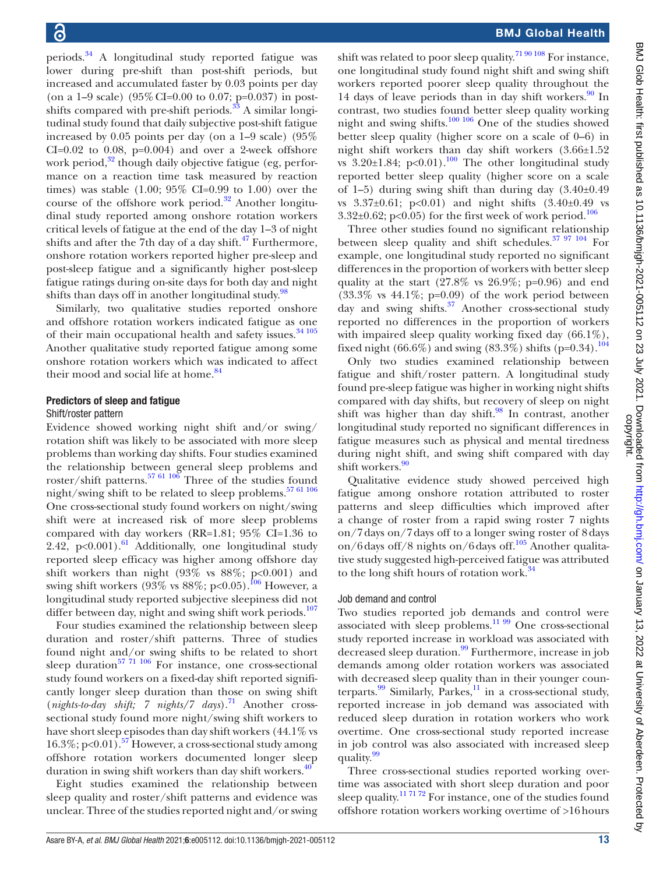periods[.34](#page-20-14) A longitudinal study reported fatigue was lower during pre-shift than post-shift periods, but increased and accumulated faster by 0.03 points per day (on a 1–9 scale) (95% CI=0.00 to 0.07; p=0.037) in postshifts compared with pre-shift periods. $33$  A similar longitudinal study found that daily subjective post-shift fatigue increased by 0.05 points per day (on a 1–9 scale) (95%  $CI=0.02$  to 0.08,  $p=0.004$ ) and over a 2-week offshore work period, $3^2$  though daily objective fatigue (eg, performance on a reaction time task measured by reaction times) was stable  $(1.00; 95\% \text{ CI} = 0.99 \text{ to } 1.00)$  over the course of the offshore work period. $32$  Another longitudinal study reported among onshore rotation workers critical levels of fatigue at the end of the day 1–3 of night shifts and after the 7th day of a day shift. $47$  Furthermore, onshore rotation workers reported higher pre-sleep and post-sleep fatigue and a significantly higher post-sleep fatigue ratings during on-site days for both day and night shifts than days off in another longitudinal study.<sup>[98](#page-21-8)</sup>

Similarly, two qualitative studies reported onshore and offshore rotation workers indicated fatigue as one of their main occupational health and safety issues.<sup>[34 105](#page-20-14)</sup> Another qualitative study reported fatigue among some onshore rotation workers which was indicated to affect their mood and social life at home.<sup>[84](#page-21-11)</sup>

#### Predictors of sleep and fatigue

#### Shift/roster pattern

Evidence showed working night shift and/or swing/ rotation shift was likely to be associated with more sleep problems than working day shifts. Four studies examined the relationship between general sleep problems and roster/shift patterns[.57 61 106](#page-20-43) Three of the studies found night/swing shift to be related to sleep problems.<sup>57 61 106</sup> One cross-sectional study found workers on night/swing shift were at increased risk of more sleep problems compared with day workers (RR=1.81; 95% CI=1.36 to 2.42,  $p<0.001$ ).<sup>61</sup> Additionally, one longitudinal study reported sleep efficacy was higher among offshore day shift workers than night  $(93\% \text{ vs } 88\%; \text{ p} < 0.001)$  and swing shift workers (93% vs  $88\%$ ; p<0.05).<sup>[106](#page-21-12)</sup> However, a longitudinal study reported subjective sleepiness did not differ between day, night and swing shift work periods.<sup>[107](#page-21-13)</sup>

Four studies examined the relationship between sleep duration and roster/shift patterns. Three of studies found night and/or swing shifts to be related to short sleep duration $^{57}$  71 106 For instance, one cross-sectional study found workers on a fixed-day shift reported significantly longer sleep duration than those on swing shift (*nights-to-day shift; 7 nights/7 days*).[71](#page-20-44) Another crosssectional study found more night/swing shift workers to have short sleep episodes than day shift workers (44.1% vs 16.3%; p<0.01).<sup>57</sup> However, a cross-sectional study among offshore rotation workers documented longer sleep duration in swing shift workers than day shift workers. $40$ 

Eight studies examined the relationship between sleep quality and roster/shift patterns and evidence was unclear. Three of the studies reported night and/or swing

shift was related to poor sleep quality.<sup>[71 90 108](#page-20-44)</sup> For instance, one longitudinal study found night shift and swing shift workers reported poorer sleep quality throughout the 14 days of leave periods than in day shift workers. $90 \text{ In}$  $90 \text{ In}$ contrast, two studies found better sleep quality working night and swing shifts. $\frac{100 \times 106}{100 \times 106}$  One of the studies showed better sleep quality (higher score on a scale of 0–6) in night shift workers than day shift workers (3.66±1.52 vs  $3.20\pm1.84$ ; p<0.01).<sup>100</sup> The other longitudinal study reported better sleep quality (higher score on a scale of 1–5) during swing shift than during day  $(3.40\pm0.49$ vs  $3.37\pm0.61$ ; p<0.01) and night shifts  $(3.40\pm0.49$  vs 3.32 $\pm$ 0.62; p<0.05) for the first week of work period.<sup>106</sup>

Three other studies found no significant relationship between sleep quality and shift schedules. $37 \frac{97}{104}$  For example, one longitudinal study reported no significant differences in the proportion of workers with better sleep quality at the start  $(27.8\% \text{ vs } 26.9\%; \text{ p=0.96})$  and end  $(33.3\% \text{ vs } 44.1\%; \text{ p=0.09})$  of the work period between day and swing shifts[.37](#page-20-35) Another cross-sectional study reported no differences in the proportion of workers with impaired sleep quality working fixed day  $(66.1\%)$ , fixed night (66.6%) and swing (83.3%) shifts (p=0.34).<sup>[104](#page-21-15)</sup>

Only two studies examined relationship between fatigue and shift/roster pattern. A longitudinal study found pre-sleep fatigue was higher in working night shifts compared with day shifts, but recovery of sleep on night shift was higher than day shift.<sup>98</sup> In contrast, another longitudinal study reported no significant differences in fatigue measures such as physical and mental tiredness during night shift, and swing shift compared with day shift workers.<sup>[90](#page-21-14)</sup>

Qualitative evidence study showed perceived high fatigue among onshore rotation attributed to roster patterns and sleep difficulties which improved after a change of roster from a rapid swing roster 7 nights on/7days on/7days off to a longer swing roster of 8days on/6 days off/8 nights on/6 days off.<sup>[105](#page-21-16)</sup> Another qualitative study suggested high-perceived fatigue was attributed to the long shift hours of rotation work.<sup>[34](#page-20-14)</sup>

#### Job demand and control

Two studies reported job demands and control were associated with sleep problems. $\frac{11\,99}{9}$  One cross-sectional study reported increase in workload was associated with decreased sleep duration.<sup>[99](#page-21-17)</sup> Furthermore, increase in job demands among older rotation workers was associated with decreased sleep quality than in their younger counterparts. $99$  Similarly, Parkes,<sup>11</sup> in a cross-sectional study, reported increase in job demand was associated with reduced sleep duration in rotation workers who work overtime. One cross-sectional study reported increase in job control was also associated with increased sleep quality.<sup>[99](#page-21-17)</sup>

Three cross-sectional studies reported working overtime was associated with short sleep duration and poor sleep quality.<sup>11 71 72</sup> For instance, one of the studies found offshore rotation workers working overtime of >16hours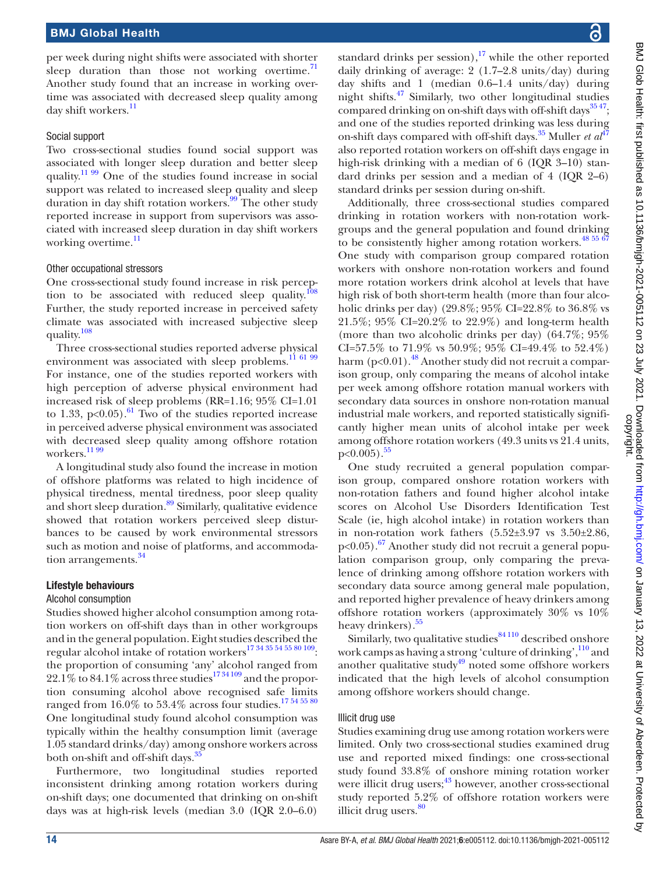per week during night shifts were associated with shorter sleep duration than those not working overtime. $^{71}$  $^{71}$  $^{71}$ Another study found that an increase in working overtime was associated with decreased sleep quality among day shift workers.<sup>[11](#page-19-9)</sup>

#### Social support

Two cross-sectional studies found social support was associated with longer sleep duration and better sleep quality.<sup>11 99</sup> One of the studies found increase in social support was related to increased sleep quality and sleep duration in day shift rotation workers.<sup>99</sup> The other study reported increase in support from supervisors was associated with increased sleep duration in day shift workers working overtime.<sup>[11](#page-19-9)</sup>

#### Other occupational stressors

One cross-sectional study found increase in risk percep-tion to be associated with reduced sleep quality.<sup>[108](#page-21-18)</sup> Further, the study reported increase in perceived safety climate was associated with increased subjective sleep quality.[108](#page-21-18)

Three cross-sectional studies reported adverse physical environment was associated with sleep problems.<sup>11 61 99</sup> For instance, one of the studies reported workers with high perception of adverse physical environment had increased risk of sleep problems (RR=1.16; 95% CI=1.01 to 1.33,  $p<0.05$ ).<sup>[61](#page-20-2)</sup> Two of the studies reported increase in perceived adverse physical environment was associated with decreased sleep quality among offshore rotation workers.<sup>[11 99](#page-19-9)</sup>

A longitudinal study also found the increase in motion of offshore platforms was related to high incidence of physical tiredness, mental tiredness, poor sleep quality and short sleep duration.<sup>89</sup> Similarly, qualitative evidence showed that rotation workers perceived sleep disturbances to be caused by work environmental stressors such as motion and noise of platforms, and accommodation arrangements.<sup>34</sup>

#### Lifestyle behaviours

#### Alcohol consumption

Studies showed higher alcohol consumption among rotation workers on off-shift days than in other workgroups and in the general population. Eight studies described the regular alcohol intake of rotation workers[17 34 35 54 55 80 109:](#page-19-12) the proportion of consuming 'any' alcohol ranged from  $22.1\%$  to 84.1% across three studies<sup>1734109</sup> and the proportion consuming alcohol above recognised safe limits ranged from 16.0% to 53.4% across four studies.<sup>17545580</sup> One longitudinal study found alcohol consumption was typically within the healthy consumption limit (average 1.05 standard drinks/day) among onshore workers across both on-shift and off-shift days.<sup>[35](#page-20-23)</sup>

Furthermore, two longitudinal studies reported inconsistent drinking among rotation workers during on-shift days; one documented that drinking on on-shift days was at high-risk levels (median 3.0 (IQR 2.0–6.0)

standard drinks per session),  $17$  while the other reported daily drinking of average: 2 (1.7–2.8 units/day) during day shifts and 1 (median 0.6–1.4 units/day) during night shifts[.47](#page-20-41) Similarly, two other longitudinal studies compared drinking on on-shift days with off-shift days $^{35\,47}$ ; and one of the studies reported drinking was less during on-shift days compared with off-shift days.<sup>[35](#page-20-23)</sup> Muller *et al*<sup>[47](#page-20-41)</sup> also reported rotation workers on off-shift days engage in high-risk drinking with a median of 6 (IQR 3–10) standard drinks per session and a median of 4 (IQR 2–6) standard drinks per session during on-shift.

Additionally, three cross-sectional studies compared drinking in rotation workers with non-rotation workgroups and the general population and found drinking to be consistently higher among rotation workers.<sup>48 55 67</sup> One study with comparison group compared rotation workers with onshore non-rotation workers and found more rotation workers drink alcohol at levels that have high risk of both short-term health (more than four alcoholic drinks per day) (29.8%; 95% CI=22.8% to 36.8% vs 21.5%; 95% CI=20.2% to 22.9%) and long-term health (more than two alcoholic drinks per day) (64.7%; 95% CI=57.5% to 71.9% vs 50.9%; 95% CI=49.4% to 52.4%) harm  $(p<0.01)$ .<sup>[48](#page-20-27)</sup> Another study did not recruit a comparison group, only comparing the means of alcohol intake per week among offshore rotation manual workers with secondary data sources in onshore non-rotation manual industrial male workers, and reported statistically significantly higher mean units of alcohol intake per week among offshore rotation workers (49.3 units vs 21.4 units,  $p<0.005$ ).<sup>[55](#page-20-45)</sup>

One study recruited a general population comparison group, compared onshore rotation workers with non-rotation fathers and found higher alcohol intake scores on Alcohol Use Disorders Identification Test Scale (ie, high alcohol intake) in rotation workers than in non-rotation work fathers  $(5.52\pm3.97 \text{ vs } 3.50\pm2.86,$  $p<0.05$ ).<sup>67</sup> Another study did not recruit a general population comparison group, only comparing the prevalence of drinking among offshore rotation workers with secondary data source among general male population, and reported higher prevalence of heavy drinkers among offshore rotation workers (approximately 30% vs 10% heavy drinkers).<sup>55</sup>

Similarly, two qualitative studies $84110$  described onshore work camps as having a strong 'culture of drinking',  $\frac{110}{10}$  $\frac{110}{10}$  $\frac{110}{10}$  and another qualitative study $49 \text{ noted}$  $49 \text{ noted}$  some offshore workers indicated that the high levels of alcohol consumption among offshore workers should change.

#### Illicit drug use

Studies examining drug use among rotation workers were limited. Only two cross-sectional studies examined drug use and reported mixed findings: one cross-sectional study found 33.8% of onshore mining rotation worker were illicit drug users;<sup>[43](#page-20-3)</sup> however, another cross-sectional study reported 5.2% of offshore rotation workers were illicit drug users. $80$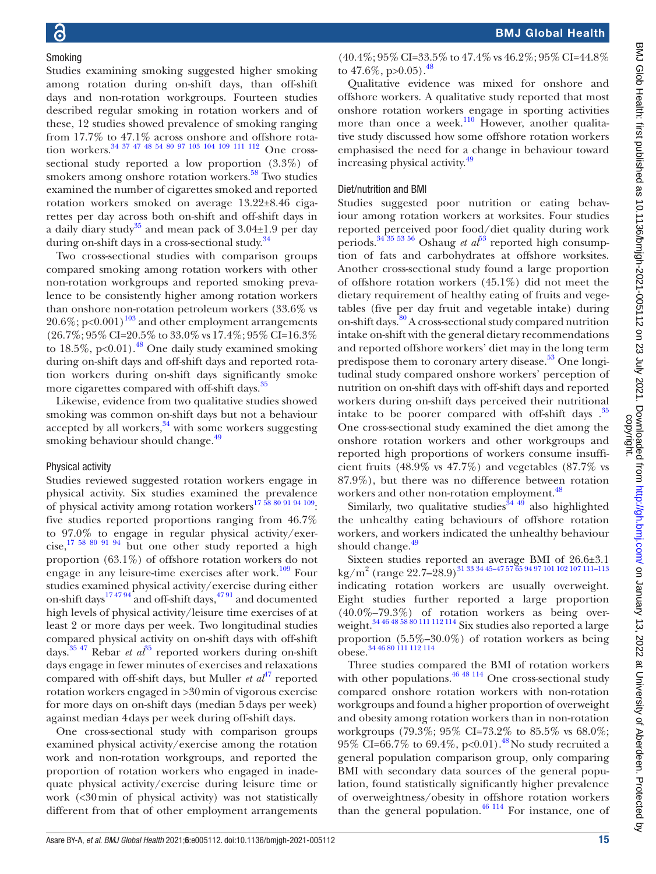#### Smoking

Studies examining smoking suggested higher smoking among rotation during on-shift days, than off-shift days and non-rotation workgroups. Fourteen studies described regular smoking in rotation workers and of these, 12 studies showed prevalence of smoking ranging from 17.7% to 47.1% across onshore and offshore rotation workers.<sup>34 37 47 48 54 80 97 103 104 109 111 112</sup> One crosssectional study reported a low proportion (3.3%) of smokers among onshore rotation workers.<sup>58</sup> Two studies examined the number of cigarettes smoked and reported rotation workers smoked on average 13.22±8.46 cigarettes per day across both on-shift and off-shift days in a daily diary study<sup>35</sup> and mean pack of 3.04 $\pm$ 1.9 per day during on-shift days in a cross-sectional study.<sup>[34](#page-20-14)</sup>

Two cross-sectional studies with comparison groups compared smoking among rotation workers with other non-rotation workgroups and reported smoking prevalence to be consistently higher among rotation workers than onshore non-rotation petroleum workers (33.6% vs  $20.6\%$ ; p<0.001)<sup>103</sup> and other employment arrangements (26.7%; 95% CI=20.5% to 33.0% vs 17.4%; 95% CI=16.3% to  $18.5\%$ , p<0.01).<sup>48</sup> One daily study examined smoking during on-shift days and off-shift days and reported rotation workers during on-shift days significantly smoke more cigarettes compared with off-shift days.<sup>35</sup>

Likewise, evidence from two qualitative studies showed smoking was common on-shift days but not a behaviour accepted by all workers, $34$  with some workers suggesting smoking behaviour should change.<sup>49</sup>

#### Physical activity

Studies reviewed suggested rotation workers engage in physical activity. Six studies examined the prevalence of physical activity among rotation workers<sup>17 58</sup> 80 91 94 109: five studies reported proportions ranging from 46.7% to 97.0% to engage in regular physical activity/exercise,[17 58 80 91 94](#page-19-12) but one other study reported a high proportion (63.1%) of offshore rotation workers do not engage in any leisure-time exercises after work.<sup>109</sup> Four studies examined physical activity/exercise during either on-shift days $174794$  and off-shift days,  $4791$  and documented high levels of physical activity/leisure time exercises of at least 2 or more days per week. Two longitudinal studies compared physical activity on on-shift days with off-shift days.<sup>[35 47](#page-20-23)</sup> Rebar *et al*<sup>35</sup> reported workers during on-shift days engage in fewer minutes of exercises and relaxations compared with off-shift days, but Muller *et al*<sup>47</sup> reported rotation workers engaged in >30min of vigorous exercise for more days on on-shift days (median 5days per week) against median 4days per week during off-shift days.

One cross-sectional study with comparison groups examined physical activity/exercise among the rotation work and non-rotation workgroups, and reported the proportion of rotation workers who engaged in inadequate physical activity/exercise during leisure time or work (<30min of physical activity) was not statistically different from that of other employment arrangements

(40.4%; 95% CI=33.5% to 47.4% vs 46.2%; 95% CI=44.8% to  $47.6\%$ , p $>0.05$ ).<sup>[48](#page-20-27)</sup>

Qualitative evidence was mixed for onshore and offshore workers. A qualitative study reported that most onshore rotation workers engage in sporting activities more than once a week.<sup>[110](#page-21-19)</sup> However, another qualitative study discussed how some offshore rotation workers emphasised the need for a change in behaviour toward increasing physical activity.<sup>49</sup>

#### Diet/nutrition and BMI

Studies suggested poor nutrition or eating behaviour among rotation workers at worksites. Four studies reported perceived poor food/diet quality during work periods.<sup>34 35 [53](#page-20-48) 56</sup> Oshaug *et al*<sup>53</sup> reported high consumption of fats and carbohydrates at offshore worksites. Another cross-sectional study found a large proportion of offshore rotation workers (45.1%) did not meet the dietary requirement of healthy eating of fruits and vegetables (five per day fruit and vegetable intake) during on-shift days.<sup>80</sup> A cross-sectional study compared nutrition intake on-shift with the general dietary recommendations and reported offshore workers' diet may in the long term predispose them to coronary artery disease.<sup>53</sup> One longitudinal study compared onshore workers' perception of nutrition on on-shift days with off-shift days and reported workers during on-shift days perceived their nutritional intake to be poorer compared with off-shift days.<sup>35</sup> One cross-sectional study examined the diet among the onshore rotation workers and other workgroups and reported high proportions of workers consume insufficient fruits  $(48.9\% \text{ vs } 47.7\%)$  and vegetables  $(87.7\% \text{ vs } 47.7\%)$ 87.9%), but there was no difference between rotation workers and other non-rotation employment.<sup>48</sup>

Similarly, two qualitative studies $344\frac{49}{4}$  also highlighted the unhealthy eating behaviours of offshore rotation workers, and workers indicated the unhealthy behaviour should change.<sup>[49](#page-20-13)</sup>

Sixteen studies reported an average BMI of 26.6±3.1  $\rm kg/m^2$  (range  $\rm 22.7–28.9)^{31\,33\,34\,45-47\,57\,65\,94\,97\,101\,102\,107\,111-113}$ indicating rotation workers are usually overweight. Eight studies further reported a large proportion (40.0%–79.3%) of rotation workers as being over-weight.<sup>[34 46 48 58 80 111 112 114](#page-20-14)</sup> Six studies also reported a large proportion (5.5%–30.0%) of rotation workers as being obese.[34 46 80 111 112 114](#page-20-14)

Three studies compared the BMI of rotation workers with other populations.  $4648114$  One cross-sectional study compared onshore rotation workers with non-rotation workgroups and found a higher proportion of overweight and obesity among rotation workers than in non-rotation workgroups (79.3%; 95% CI=73.2% to 85.5% vs 68.0%; 95% CI=66.7% to 69.4%, p<0.01).<sup>[48](#page-20-27)</sup>No study recruited a general population comparison group, only comparing BMI with secondary data sources of the general population, found statistically significantly higher prevalence of overweightness/obesity in offshore rotation workers than the general population. $46$   $114$  For instance, one of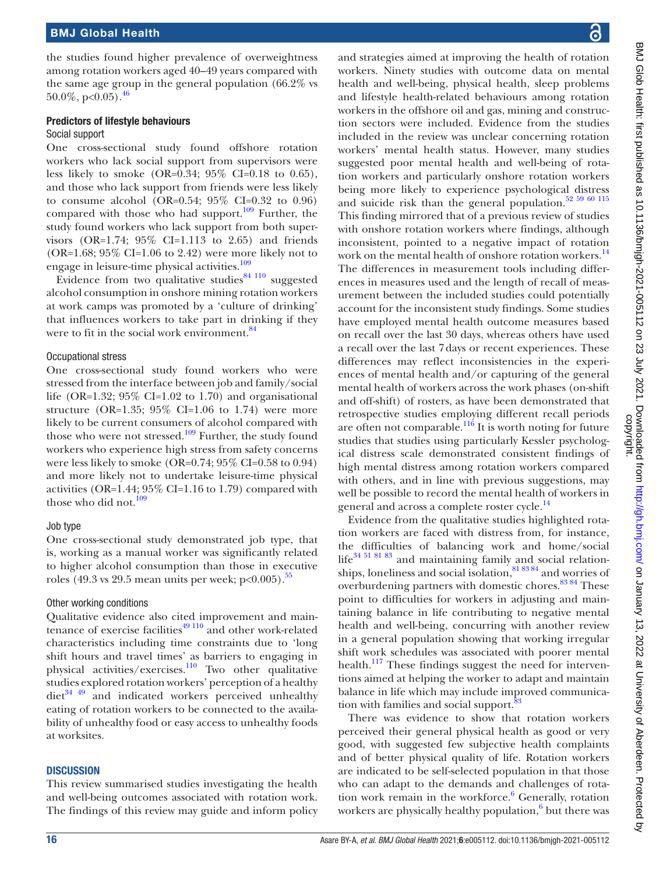the studies found higher prevalence of overweightness among rotation workers aged 40–49 years compared with the same age group in the general population (66.2% vs  $50.0\%$ , p<0.05).<sup>[46](#page-20-49)</sup>

#### Predictors of lifestyle behaviours Social support

One cross-sectional study found offshore rotation workers who lack social support from supervisors were less likely to smoke (OR=0.34; 95% CI=0.18 to 0.65), and those who lack support from friends were less likely to consume alcohol (OR=0.54;  $95\%$  CI=0.32 to 0.96) compared with those who had support. $109$  Further, the study found workers who lack support from both supervisors (OR=1.74; 95% CI=1.113 to 2.65) and friends (OR=1.68; 95% CI=1.06 to 2.42) were more likely not to engage in leisure-time physical activities.<sup>[109](#page-21-20)</sup>

Evidence from two qualitative studies $84$   $110$  suggested alcohol consumption in onshore mining rotation workers at work camps was promoted by a 'culture of drinking' that influences workers to take part in drinking if they were to fit in the social work environment.<sup>84</sup>

#### Occupational stress

One cross-sectional study found workers who were stressed from the interface between job and family/social life (OR=1.32;  $95\%$  CI=1.02 to 1.70) and organisational structure (OR=1.35;  $95\%$  CI=1.06 to 1.74) were more likely to be current consumers of alcohol compared with those who were not stressed.<sup>109</sup> Further, the study found workers who experience high stress from safety concerns were less likely to smoke (OR=0.74; 95% CI=0.58 to 0.94) and more likely not to undertake leisure-time physical activities (OR=1.44;  $95\%$  CI=1.16 to 1.79) compared with those who did not.<sup>[109](#page-21-20)</sup>

#### Job type

One cross-sectional study demonstrated job type, that is, working as a manual worker was significantly related to higher alcohol consumption than those in executive roles (49.3 vs 29.5 mean units per week;  $p<0.005$ ).<sup>[55](#page-20-45)</sup>

#### Other working conditions

Qualitative evidence also cited improvement and maintenance of exercise facilities $49110$  and other work-related characteristics including time constraints due to 'long shift hours and travel times' as barriers to engaging in physical activities/exercises.<sup>110</sup> Two other qualitative studies explored rotation workers' perception of a healthy  $\text{diet}^{34}$  49 and indicated workers perceived unhealthy eating of rotation workers to be connected to the availability of unhealthy food or easy access to unhealthy foods at worksites.

#### **DISCUSSION**

This review summarised studies investigating the health and well-being outcomes associated with rotation work. The findings of this review may guide and inform policy

and strategies aimed at improving the health of rotation workers. Ninety studies with outcome data on mental health and well-being, physical health, sleep problems and lifestyle health-related behaviours among rotation workers in the offshore oil and gas, mining and construction sectors were included. Evidence from the studies included in the review was unclear concerning rotation workers' mental health status. However, many studies suggested poor mental health and well-being of rotation workers and particularly onshore rotation workers being more likely to experience psychological distress and suicide risk than the general population. $52\,59\,60\,115$ This finding mirrored that of a previous review of studies with onshore rotation workers where findings, although inconsistent, pointed to a negative impact of rotation work on the mental health of onshore rotation workers.<sup>[14](#page-19-14)</sup> The differences in measurement tools including differences in measures used and the length of recall of measurement between the included studies could potentially account for the inconsistent study findings. Some studies have employed mental health outcome measures based on recall over the last 30 days, whereas others have used a recall over the last 7days or recent experiences. These differences may reflect inconsistencies in the experiences of mental health and/or capturing of the general mental health of workers across the work phases (on-shift and off-shift) of rosters, as have been demonstrated that retrospective studies employing different recall periods are often not comparable.<sup>116</sup> It is worth noting for future studies that studies using particularly Kessler psychological distress scale demonstrated consistent findings of high mental distress among rotation workers compared with others, and in line with previous suggestions, may well be possible to record the mental health of workers in general and across a complete roster cycle.<sup>[14](#page-19-14)</sup>

Evidence from the qualitative studies highlighted rotation workers are faced with distress from, for instance, the difficulties of balancing work and home/social life<sup>34 51 81</sup> 83 and maintaining family and social relationships, loneliness and social isolation,  $81\,83\,84$  and worries of overburdening partners with domestic chores.<sup>[83 84](#page-21-0)</sup> These point to difficulties for workers in adjusting and maintaining balance in life contributing to negative mental health and well-being, concurring with another review in a general population showing that working irregular shift work schedules was associated with poorer mental health.<sup>117</sup> These findings suggest the need for interventions aimed at helping the worker to adapt and maintain balance in life which may include improved communica-tion with families and social support.<sup>[83](#page-21-0)</sup>

There was evidence to show that rotation workers perceived their general physical health as good or very good, with suggested few subjective health complaints and of better physical quality of life. Rotation workers are indicated to be self-selected population in that those who can adapt to the demands and challenges of rota-tion work remain in the workforce.<sup>[6](#page-19-5)</sup> Generally, rotation workers are physically healthy population,<sup>[6](#page-19-5)</sup> but there was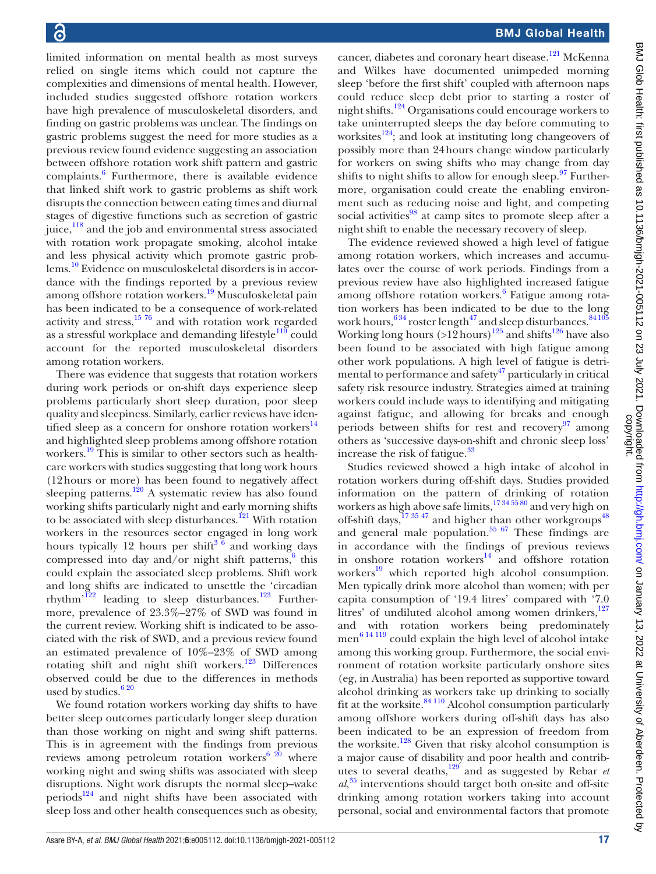limited information on mental health as most surveys relied on single items which could not capture the complexities and dimensions of mental health. However, included studies suggested offshore rotation workers have high prevalence of musculoskeletal disorders, and finding on gastric problems was unclear. The findings on gastric problems suggest the need for more studies as a previous review found evidence suggesting an association between offshore rotation work shift pattern and gastric complaints.<sup>6</sup> Furthermore, there is available evidence that linked shift work to gastric problems as shift work disrupts the connection between eating times and diurnal stages of digestive functions such as secretion of gastric juice,<sup>118</sup> and the job and environmental stress associated with rotation work propagate smoking, alcohol intake and less physical activity which promote gastric problems.[10](#page-19-8) Evidence on musculoskeletal disorders is in accordance with the findings reported by a previous review among offshore rotation workers.<sup>19</sup> Musculoskeletal pain has been indicated to be a consequence of work-related activity and stress, $1576$  and with rotation work regarded as a stressful workplace and demanding lifestyle $119$  could account for the reported musculoskeletal disorders among rotation workers.

There was evidence that suggests that rotation workers during work periods or on-shift days experience sleep problems particularly short sleep duration, poor sleep quality and sleepiness. Similarly, earlier reviews have identified sleep as a concern for onshore rotation workers $^{14}$ and highlighted sleep problems among offshore rotation workers.<sup>[19](#page-19-13)</sup> This is similar to other sectors such as healthcare workers with studies suggesting that long work hours (12hours or more) has been found to negatively affect sleeping patterns.<sup>120</sup> A systematic review has also found working shifts particularly night and early morning shifts to be associated with sleep disturbances.<sup>121</sup> With rotation workers in the resources sector engaged in long work hours typically 12 hours per shift<sup>3  $\frac{8}{6}$ </sup> and working days compressed into day and/or night shift patterns, $6$  this could explain the associated sleep problems. Shift work and long shifts are indicated to unsettle the 'circadian rhythm<sup> $122$ </sup> leading to sleep disturbances.<sup>123</sup> Furthermore, prevalence of 23.3%–27% of SWD was found in the current review. Working shift is indicated to be associated with the risk of SWD, and a previous review found an estimated prevalence of 10%–23% of SWD among rotating shift and night shift workers.<sup>[123](#page-21-28)</sup> Differences observed could be due to the differences in methods used by studies.<sup>620</sup>

We found rotation workers working day shifts to have better sleep outcomes particularly longer sleep duration than those working on night and swing shift patterns. This is in agreement with the findings from previous reviews among petroleum rotation workers $620$  where working night and swing shifts was associated with sleep disruptions. Night work disrupts the normal sleep–wake periods<sup>124</sup> and night shifts have been associated with sleep loss and other health consequences such as obesity,

cancer, diabetes and coronary heart disease.<sup>121</sup> McKenna and Wilkes have documented unimpeded morning sleep 'before the first shift' coupled with afternoon naps could reduce sleep debt prior to starting a roster of night shifts.<sup>124</sup> Organisations could encourage workers to take uninterrupted sleeps the day before commuting to worksites $^{124}$ ; and look at instituting long changeovers of possibly more than 24hours change window particularly for workers on swing shifts who may change from day shifts to night shifts to allow for enough sleep. $\frac{97}{97}$  Furthermore, organisation could create the enabling environment such as reducing noise and light, and competing social activities $98$  at camp sites to promote sleep after a night shift to enable the necessary recovery of sleep.

The evidence reviewed showed a high level of fatigue among rotation workers, which increases and accumulates over the course of work periods. Findings from a previous review have also highlighted increased fatigue among offshore rotation workers.<sup>6</sup> Fatigue among rotation workers has been indicated to be due to the long work hours, $^{6\,34}$  roster length $^{47}$  and sleep disturbances.  $^{84\,105}$ Working long hours  $(>12 \text{ hours})^{125}$  $(>12 \text{ hours})^{125}$  $(>12 \text{ hours})^{125}$  and shifts<sup>126</sup> have also been found to be associated with high fatigue among other work populations. A high level of fatigue is detrimental to performance and safety $47$  particularly in critical safety risk resource industry. Strategies aimed at training workers could include ways to identifying and mitigating against fatigue, and allowing for breaks and enough periods between shifts for rest and recovery $97$  among others as 'successive days-on-shift and chronic sleep loss' increase the risk of fatigue.<sup>33</sup>

Studies reviewed showed a high intake of alcohol in rotation workers during off-shift days. Studies provided information on the pattern of drinking of rotation workers as high above safe limits, $17\frac{34\frac{55}{60}}{3}$  and very high on off-shift days,  $\frac{173547}{173547}$  and higher than other workgroups<sup>48</sup> and general male population. $55 67$  These findings are in accordance with the findings of previous reviews in onshore rotation workers $14 \nvert_{\text{and}}$  offshore rotation workers<sup>19</sup> which reported high alcohol consumption. Men typically drink more alcohol than women; with per capita consumption of '19.4 litres' compared with '7.0 litres' of undiluted alcohol among women drinkers,<sup>[127](#page-21-32)</sup> and with rotation workers being predominately men [6 14 119](#page-19-5) could explain the high level of alcohol intake among this working group. Furthermore, the social environment of rotation worksite particularly onshore sites (eg, in Australia) has been reported as supportive toward alcohol drinking as workers take up drinking to socially fit at the worksite. $84110$  Alcohol consumption particularly among offshore workers during off-shift days has also been indicated to be an expression of freedom from the worksite.<sup>[128](#page-21-33)</sup> Given that risky alcohol consumption is a major cause of disability and poor health and contributes to several deaths,[129](#page-21-34) and as suggested by Rebar *et al,*[35](#page-20-23) interventions should target both on-site and off-site drinking among rotation workers taking into account personal, social and environmental factors that promote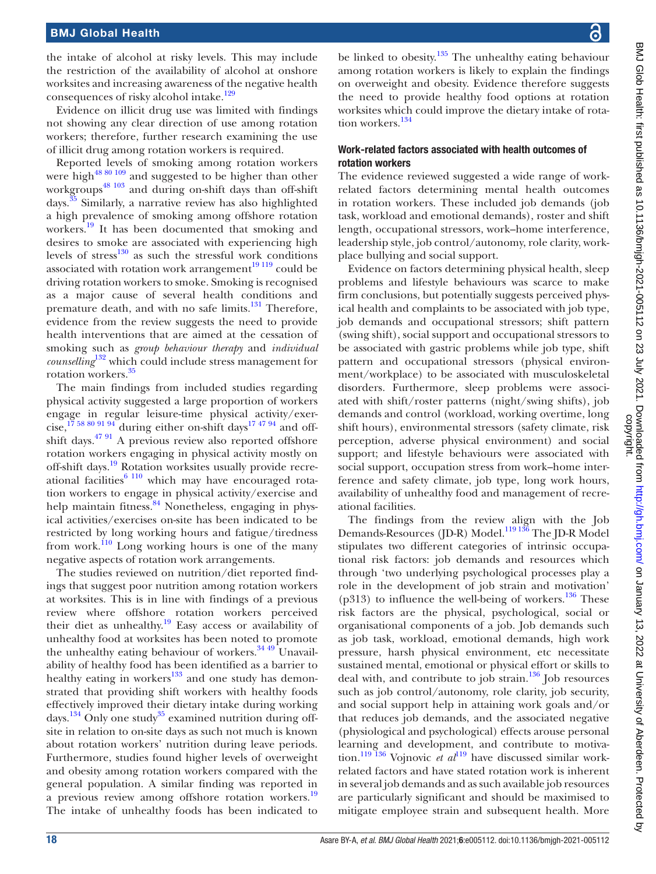the intake of alcohol at risky levels. This may include the restriction of the availability of alcohol at onshore worksites and increasing awareness of the negative health consequences of risky alcohol intake.<sup>129</sup>

Evidence on illicit drug use was limited with findings not showing any clear direction of use among rotation workers; therefore, further research examining the use of illicit drug among rotation workers is required.

Reported levels of smoking among rotation workers were high<sup>[48 80 109](#page-20-27)</sup> and suggested to be higher than other workgroups<sup>[48 103](#page-20-27)</sup> and during on-shift days than off-shift days.[35](#page-20-23) Similarly, a narrative review has also highlighted a high prevalence of smoking among offshore rotation workers.<sup>[19](#page-19-13)</sup> It has been documented that smoking and desires to smoke are associated with experiencing high levels of stres[s130](#page-21-35) as such the stressful work conditions associated with rotation work arrangement $19119$  could be driving rotation workers to smoke. Smoking is recognised as a major cause of several health conditions and premature death, and with no safe limits.<sup>131</sup> Therefore, evidence from the review suggests the need to provide health interventions that are aimed at the cessation of smoking such as *group behaviour therapy* and *individual counselling*[132](#page-21-37) which could include stress management for rotation workers[.35](#page-20-23)

The main findings from included studies regarding physical activity suggested a large proportion of workers engage in regular leisure-time physical activity/exer-cise,<sup>[17 58 80 91 94](#page-19-12)</sup> during either on-shift days<sup>17 47 94</sup> and offshift days. $4791$  A previous review also reported offshore rotation workers engaging in physical activity mostly on off-shift days.<sup>19</sup> Rotation worksites usually provide recreational facilities $6110$  which may have encouraged rotation workers to engage in physical activity/exercise and help maintain fitness.<sup>84</sup> Nonetheless, engaging in physical activities/exercises on-site has been indicated to be restricted by long working hours and fatigue/tiredness from work.<sup>110</sup> Long working hours is one of the many negative aspects of rotation work arrangements.

The studies reviewed on nutrition/diet reported findings that suggest poor nutrition among rotation workers at worksites. This is in line with findings of a previous review where offshore rotation workers perceived their diet as unhealthy.<sup>[19](#page-19-13)</sup> Easy access or availability of unhealthy food at worksites has been noted to promote the unhealthy eating behaviour of workers. $34\frac{49}{1}$ Unavailability of healthy food has been identified as a barrier to healthy eating in workers $133$  and one study has demonstrated that providing shift workers with healthy foods effectively improved their dietary intake during working days.<sup>134</sup> Only one study<sup>35</sup> examined nutrition during offsite in relation to on-site days as such not much is known about rotation workers' nutrition during leave periods. Furthermore, studies found higher levels of overweight and obesity among rotation workers compared with the general population. A similar finding was reported in a previous review among offshore rotation workers.<sup>[19](#page-19-13)</sup> The intake of unhealthy foods has been indicated to

be linked to obesity.<sup>135</sup> The unhealthy eating behaviour among rotation workers is likely to explain the findings on overweight and obesity. Evidence therefore suggests the need to provide healthy food options at rotation worksites which could improve the dietary intake of rota-tion workers.<sup>[134](#page-21-39)</sup>

#### Work-related factors associated with health outcomes of rotation workers

The evidence reviewed suggested a wide range of workrelated factors determining mental health outcomes in rotation workers. These included job demands (job task, workload and emotional demands), roster and shift length, occupational stressors, work–home interference, leadership style, job control/autonomy, role clarity, workplace bullying and social support.

Evidence on factors determining physical health, sleep problems and lifestyle behaviours was scarce to make firm conclusions, but potentially suggests perceived physical health and complaints to be associated with job type, job demands and occupational stressors; shift pattern (swing shift), social support and occupational stressors to be associated with gastric problems while job type, shift pattern and occupational stressors (physical environment/workplace) to be associated with musculoskeletal disorders. Furthermore, sleep problems were associated with shift/roster patterns (night/swing shifts), job demands and control (workload, working overtime, long shift hours), environmental stressors (safety climate, risk perception, adverse physical environment) and social support; and lifestyle behaviours were associated with social support, occupation stress from work–home interference and safety climate, job type, long work hours, availability of unhealthy food and management of recreational facilities.

The findings from the review align with the Job Demands-Resources (JD-R) Model.<sup>119 136</sup> The JD-R Model stipulates two different categories of intrinsic occupational risk factors: job demands and resources which through 'two underlying psychological processes play a role in the development of job strain and motivation' (p313) to influence the well-being of workers.<sup>136</sup> These risk factors are the physical, psychological, social or organisational components of a job. Job demands such as job task, workload, emotional demands, high work pressure, harsh physical environment, etc necessitate sustained mental, emotional or physical effort or skills to deal with, and contribute to job strain.<sup>136</sup> Job resources such as job control/autonomy, role clarity, job security, and social support help in attaining work goals and/or that reduces job demands, and the associated negative (physiological and psychological) effects arouse personal learning and development, and contribute to motiva-tion.<sup>[119](#page-21-24) 136</sup> Vojnovic *et al*<sup>119</sup> have discussed similar workrelated factors and have stated rotation work is inherent in several job demands and as such available job resources are particularly significant and should be maximised to mitigate employee strain and subsequent health. More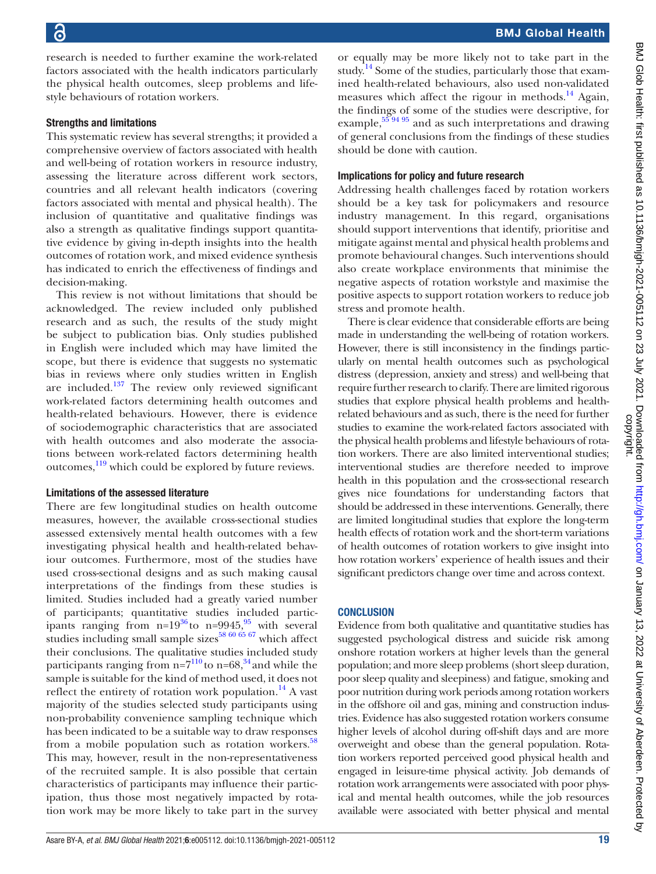research is needed to further examine the work-related factors associated with the health indicators particularly the physical health outcomes, sleep problems and lifestyle behaviours of rotation workers.

#### Strengths and limitations

This systematic review has several strengths; it provided a comprehensive overview of factors associated with health and well-being of rotation workers in resource industry, assessing the literature across different work sectors, countries and all relevant health indicators (covering factors associated with mental and physical health). The inclusion of quantitative and qualitative findings was also a strength as qualitative findings support quantitative evidence by giving in-depth insights into the health outcomes of rotation work, and mixed evidence synthesis has indicated to enrich the effectiveness of findings and decision-making.

This review is not without limitations that should be acknowledged. The review included only published research and as such, the results of the study might be subject to publication bias. Only studies published in English were included which may have limited the scope, but there is evidence that suggests no systematic bias in reviews where only studies written in English are included. $137$  The review only reviewed significant work-related factors determining health outcomes and health-related behaviours. However, there is evidence of sociodemographic characteristics that are associated with health outcomes and also moderate the associations between work-related factors determining health outcomes, $\frac{119}{12}$  which could be explored by future reviews.

#### Limitations of the assessed literature

There are few longitudinal studies on health outcome measures, however, the available cross-sectional studies assessed extensively mental health outcomes with a few investigating physical health and health-related behaviour outcomes. Furthermore, most of the studies have used cross-sectional designs and as such making causal interpretations of the findings from these studies is limited. Studies included had a greatly varied number of participants; quantitative studies included participants ranging from  $n=19^{36}$  $n=19^{36}$  $n=19^{36}$  to  $n=9945$ , with several studies including small sample sizes $58\frac{60}{65}$  67 which affect their conclusions. The qualitative studies included study participants ranging from  $n=7^{110}$  $n=7^{110}$  $n=7^{110}$  to  $n=68$ ,<sup>[34](#page-20-14)</sup> and while the sample is suitable for the kind of method used, it does not reflect the entirety of rotation work population.<sup>14</sup> A vast majority of the studies selected study participants using non-probability convenience sampling technique which has been indicated to be a suitable way to draw responses from a mobile population such as rotation workers.<sup>58</sup> This may, however, result in the non-representativeness of the recruited sample. It is also possible that certain characteristics of participants may influence their participation, thus those most negatively impacted by rotation work may be more likely to take part in the survey

or equally may be more likely not to take part in the study.<sup>14</sup> Some of the studies, particularly those that examined health-related behaviours, also used non-validated measures which affect the rigour in methods. $^{14}$  Again, the findings of some of the studies were descriptive, for example,  $55\frac{94\frac{95}{94}}$  and as such interpretations and drawing of general conclusions from the findings of these studies should be done with caution.

#### Implications for policy and future research

Addressing health challenges faced by rotation workers should be a key task for policymakers and resource industry management. In this regard, organisations should support interventions that identify, prioritise and mitigate against mental and physical health problems and promote behavioural changes. Such interventions should also create workplace environments that minimise the negative aspects of rotation workstyle and maximise the positive aspects to support rotation workers to reduce job stress and promote health.

There is clear evidence that considerable efforts are being made in understanding the well-being of rotation workers. However, there is still inconsistency in the findings particularly on mental health outcomes such as psychological distress (depression, anxiety and stress) and well-being that require further research to clarify. There are limited rigorous studies that explore physical health problems and healthrelated behaviours and as such, there is the need for further studies to examine the work-related factors associated with the physical health problems and lifestyle behaviours of rotation workers. There are also limited interventional studies; interventional studies are therefore needed to improve health in this population and the cross-sectional research gives nice foundations for understanding factors that should be addressed in these interventions. Generally, there are limited longitudinal studies that explore the long-term health effects of rotation work and the short-term variations of health outcomes of rotation workers to give insight into how rotation workers' experience of health issues and their significant predictors change over time and across context.

#### **CONCLUSION**

Evidence from both qualitative and quantitative studies has suggested psychological distress and suicide risk among onshore rotation workers at higher levels than the general population; and more sleep problems (short sleep duration, poor sleep quality and sleepiness) and fatigue, smoking and poor nutrition during work periods among rotation workers in the offshore oil and gas, mining and construction industries. Evidence has also suggested rotation workers consume higher levels of alcohol during off-shift days and are more overweight and obese than the general population. Rotation workers reported perceived good physical health and engaged in leisure-time physical activity. Job demands of rotation work arrangements were associated with poor physical and mental health outcomes, while the job resources available were associated with better physical and mental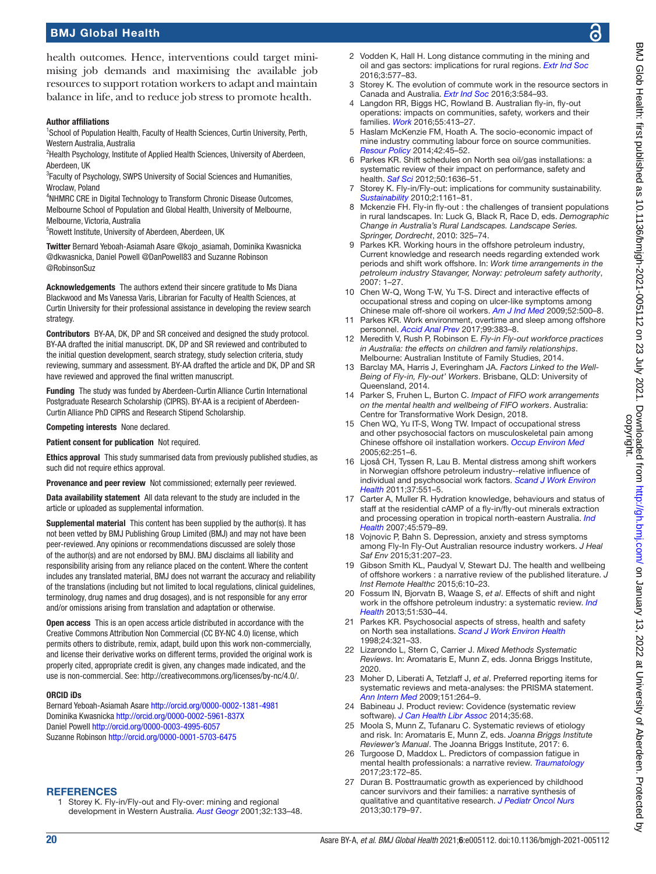# BMJ Global Health

#### Author affiliations

<sup>1</sup>School of Population Health, Faculty of Health Sciences, Curtin University, Perth, Western Australia, Australia

<sup>2</sup>Health Psychology, Institute of Applied Health Sciences, University of Aberdeen, Aberdeen, UK

<sup>3</sup> Faculty of Psychology, SWPS University of Social Sciences and Humanities, Wroclaw, Poland

4 NHMRC CRE in Digital Technology to Transform Chronic Disease Outcomes, Melbourne School of Population and Global Health, University of Melbourne, Melbourne, Victoria, Australia

<sup>5</sup>Rowett Institute, University of Aberdeen, Aberdeen, UK

Twitter Bernard Yeboah-Asiamah Asare [@kojo\\_asiamah](https://twitter.com/kojo_asiamah), Dominika Kwasnicka [@dkwasnicka,](https://twitter.com/dkwasnicka) Daniel Powell [@DanPowell83](https://twitter.com/DanPowell83) and Suzanne Robinson [@RobinsonSuz](https://twitter.com/RobinsonSuz)

Acknowledgements The authors extend their sincere gratitude to Ms Diana Blackwood and Ms Vanessa Varis, Librarian for Faculty of Health Sciences, at Curtin University for their professional assistance in developing the review search strategy.

Contributors BY-AA, DK, DP and SR conceived and designed the study protocol. BY-AA drafted the initial manuscript. DK, DP and SR reviewed and contributed to the initial question development, search strategy, study selection criteria, study reviewing, summary and assessment. BY-AA drafted the article and DK, DP and SR have reviewed and approved the final written manuscript.

Funding The study was funded by Aberdeen-Curtin Alliance Curtin International Postgraduate Research Scholarship (CIPRS). BY-AA is a recipient of Aberdeen-Curtin Alliance PhD CIPRS and Research Stipend Scholarship.

Competing interests None declared.

Patient consent for publication Not required.

Ethics approval This study summarised data from previously published studies, as such did not require ethics approval.

Provenance and peer review Not commissioned; externally peer reviewed.

Data availability statement All data relevant to the study are included in the article or uploaded as supplemental information.

Supplemental material This content has been supplied by the author(s). It has not been vetted by BMJ Publishing Group Limited (BMJ) and may not have been peer-reviewed. Any opinions or recommendations discussed are solely those of the author(s) and are not endorsed by BMJ. BMJ disclaims all liability and responsibility arising from any reliance placed on the content. Where the content includes any translated material, BMJ does not warrant the accuracy and reliability of the translations (including but not limited to local regulations, clinical guidelines, terminology, drug names and drug dosages), and is not responsible for any error and/or omissions arising from translation and adaptation or otherwise.

Open access This is an open access article distributed in accordance with the Creative Commons Attribution Non Commercial (CC BY-NC 4.0) license, which permits others to distribute, remix, adapt, build upon this work non-commercially, and license their derivative works on different terms, provided the original work is properly cited, appropriate credit is given, any changes made indicated, and the use is non-commercial. See: [http://creativecommons.org/licenses/by-nc/4.0/.](http://creativecommons.org/licenses/by-nc/4.0/)

#### ORCID iDs

Bernard Yeboah-Asiamah Asare<http://orcid.org/0000-0002-1381-4981> Dominika Kwasnicka <http://orcid.org/0000-0002-5961-837X> Daniel Powell <http://orcid.org/0000-0003-4995-6057> Suzanne Robinson <http://orcid.org/0000-0001-5703-6475>

#### <span id="page-19-0"></span>**REFERENCES**

Storey K. Fly-in/Fly-out and Fly-over: mining and regional development in Western Australia. *[Aust Geogr](http://dx.doi.org/10.1080/00049180120066616)* 2001;32:133–48.

- <span id="page-19-1"></span>2 Vodden K, Hall H. Long distance commuting in the mining and oil and gas sectors: implications for rural regions. *[Extr Ind Soc](http://dx.doi.org/10.1016/j.exis.2016.07.001)* 2016;3:577–83.
- <span id="page-19-4"></span>3 Storey K. The evolution of commute work in the resource sectors in Canada and Australia. *[Extr Ind Soc](http://dx.doi.org/10.1016/j.exis.2016.02.009)* 2016;3:584–93.
- <span id="page-19-2"></span>4 Langdon RR, Biggs HC, Rowland B. Australian fly-in, fly-out operations: impacts on communities, safety, workers and their families. *[Work](http://dx.doi.org/10.3233/WOR-162412)* 2016;55:413–27.
- <span id="page-19-3"></span>5 Haslam McKenzie FM, Hoath A. The socio-economic impact of mine industry commuting labour force on source communities. *[Resour Policy](http://dx.doi.org/10.1016/j.resourpol.2014.09.002)* 2014;42:45–52.
- <span id="page-19-5"></span>6 Parkes KR. Shift schedules on North sea oil/gas installations: a systematic review of their impact on performance, safety and health. *[Saf Sci](http://dx.doi.org/10.1016/j.ssci.2012.01.010)* 2012;50:1636–51.
- 7 Storey K. Fly-in/Fly-out: implications for community sustainability. *[Sustainability](http://dx.doi.org/10.3390/su2051161)* 2010;2:1161–81.
- <span id="page-19-6"></span>8 Mckenzie FH. Fly-in fly-out : the challenges of transient populations in rural landscapes. In: Luck G, Black R, Race D, eds. *Demographic Change in Australia's Rural Landscapes. Landscape Series. Springer, Dordrecht*, 2010: 325–74.
- <span id="page-19-7"></span>9 Parkes KR. Working hours in the offshore petroleum industry, Current knowledge and research needs regarding extended work periods and shift work offshore. In: *Work time arrangements in the petroleum industry Stavanger, Norway: petroleum safety authority*,  $2007:1 - 27$
- <span id="page-19-8"></span>10 Chen W-Q, Wong T-W, Yu T-S. Direct and interactive effects of occupational stress and coping on ulcer-like symptoms among Chinese male off-shore oil workers. *[Am J Ind Med](http://dx.doi.org/10.1002/ajim.20691)* 2009;52:500–8.
- <span id="page-19-9"></span>11 Parkes KR. Work environment, overtime and sleep among offshore personnel. *[Accid Anal Prev](http://dx.doi.org/10.1016/j.aap.2015.11.022)* 2017;99:383–8.
- <span id="page-19-10"></span>12 Meredith V, Rush P, Robinson E. *Fly-in Fly-out workforce practices in Australia: the effects on children and family relationships*. Melbourne: Australian Institute of Family Studies, 2014.
- <span id="page-19-11"></span>13 Barclay MA, Harris J, Everingham JA. *Factors Linked to the Well-Being of Fly-in, Fly-out' Workers*. Brisbane, QLD: University of Queensland, 2014.
- <span id="page-19-14"></span>14 Parker S, Fruhen L, Burton C. *Impact of FIFO work arrangements on the mental health and wellbeing of FIFO workers*. Australia: Centre for Transformative Work Design, 2018.
- <span id="page-19-23"></span>15 Chen WQ, Yu IT-S, Wong TW. Impact of occupational stress and other psychosocial factors on musculoskeletal pain among Chinese offshore oil installation workers. *[Occup Environ Med](http://dx.doi.org/10.1136/oem.2004.013680)* 2005;62:251–6.
- <span id="page-19-22"></span>16 Ljoså CH, Tyssen R, Lau B. Mental distress among shift workers in Norwegian offshore petroleum industry--relative influence of individual and psychosocial work factors. *[Scand J Work Environ](http://dx.doi.org/10.5271/sjweh.3191)  [Health](http://dx.doi.org/10.5271/sjweh.3191)* 2011;37:551–5.
- <span id="page-19-12"></span>17 Carter A, Muller R. Hydration knowledge, behaviours and status of staff at the residential cAMP of a fly-in/fly-out minerals extraction and processing operation in tropical north-eastern Australia. *[Ind](http://dx.doi.org/10.2486/indhealth.45.579)  [Health](http://dx.doi.org/10.2486/indhealth.45.579)* 2007;45:579–89.
- <span id="page-19-21"></span>18 Vojnovic P, Bahn S. Depression, anxiety and stress symptoms among Fly-In Fly-Out Australian resource industry workers. *J Heal Saf Env* 2015;31:207–23.
- <span id="page-19-13"></span>Gibson Smith KL, Paudyal V, Stewart DJ. The health and wellbeing of offshore workers : a narrative review of the published literature. *J Inst Remote Healthc* 2015;6:10–23.
- 20 Fossum IN, Bjorvatn B, Waage S, *et al*. Effects of shift and night work in the offshore petroleum industry: a systematic review. *[Ind](http://dx.doi.org/10.2486/indhealth.2013-0054)  [Health](http://dx.doi.org/10.2486/indhealth.2013-0054)* 2013;51:530–44.
- 21 Parkes KR. Psychosocial aspects of stress, health and safety on North sea installations. *[Scand J Work Environ Health](http://dx.doi.org/10.5271/sjweh.352)* 1998;24:321–33.
- <span id="page-19-15"></span>22 Lizarondo L, Stern C, Carrier J. *Mixed Methods Systematic Reviews*. In: Aromataris E, Munn Z, eds. Jonna Briggs Institute, 2020.
- <span id="page-19-16"></span>23 Moher D, Liberati A, Tetzlaff J, *et al*. Preferred reporting items for systematic reviews and meta-analyses: the PRISMA statement. *[Ann Intern Med](http://dx.doi.org/10.7326/0003-4819-151-4-200908180-00135)* 2009;151:264–9.
- <span id="page-19-17"></span>24 Babineau J. Product review: Covidence (systematic review software). *[J Can Health Libr Assoc](http://dx.doi.org/10.5596/c14-016)* 2014;35:68.
- <span id="page-19-18"></span>25 Moola S, Munn Z, Tufanaru C. Systematic reviews of etiology and risk. In: Aromataris E, Munn Z, eds. *Joanna Briggs Institute Reviewer's Manual*. The Joanna Briggs Institute, 2017: 6.
- <span id="page-19-19"></span>26 Turgoose D, Maddox L. Predictors of compassion fatigue in mental health professionals: a narrative review. *[Traumatology](http://dx.doi.org/10.1037/trm0000116)* 2017;23:172–85.
- <span id="page-19-20"></span>27 Duran B. Posttraumatic growth as experienced by childhood cancer survivors and their families: a narrative synthesis of qualitative and quantitative research. *[J Pediatr Oncol Nurs](http://dx.doi.org/10.1177/1043454213487433)* 2013;30:179–97.

ஜ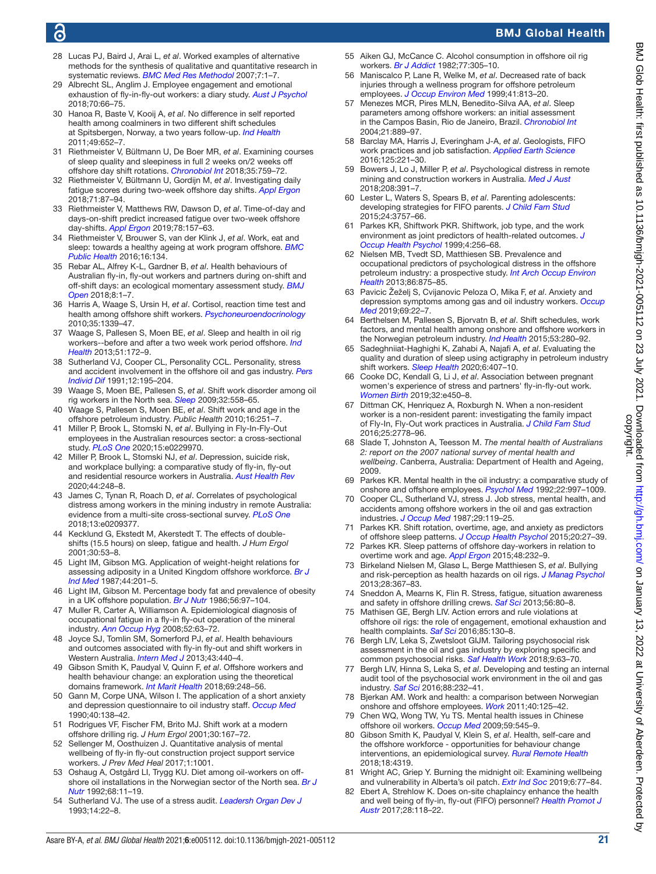# **ic**

# BMJ Global Health

- <span id="page-20-0"></span>28 Lucas PJ, Baird J, Arai L, *et al*. Worked examples of alternative methods for the synthesis of qualitative and quantitative research in systematic reviews. *[BMC Med Res Methodol](http://dx.doi.org/10.1186/1471-2288-7-4)* 2007;7:1–7.
- <span id="page-20-1"></span>29 Albrecht SL, Anglim J. Employee engagement and emotional exhaustion of fly‐in‐fly‐out workers: a diary study. *[Aust J Psychol](http://dx.doi.org/10.1111/ajpy.12155)* 2018;70:66–75.
- <span id="page-20-38"></span>30 Hanoa R, Baste V, Kooij A, *et al*. No difference in self reported health among coalminers in two different shift schedules at Spitsbergen, Norway, a two years follow-up. *[Ind Health](http://dx.doi.org/10.2486/indhealth.MS1280)* 2011;49:652–7.
- <span id="page-20-15"></span>31 Riethmeister V, Bültmann U, De Boer MR, *et al*. Examining courses of sleep quality and sleepiness in full 2 weeks on/2 weeks off offshore day shift rotations. *[Chronobiol Int](http://dx.doi.org/10.1080/07420528.2018.1466794)* 2018;35:759–72.
- <span id="page-20-40"></span>32 Riethmeister V, Bültmann U, Gordijn M, *et al*. Investigating daily fatigue scores during two-week offshore day shifts. *[Appl Ergon](http://dx.doi.org/10.1016/j.apergo.2018.04.008)* 2018;71:87–94.
- <span id="page-20-39"></span>33 Riethmeister V, Matthews RW, Dawson D, *et al*. Time-of-day and days-on-shift predict increased fatigue over two-week offshore day-shifts. *[Appl Ergon](http://dx.doi.org/10.1016/j.apergo.2019.02.010)* 2019;78:157–63.
- <span id="page-20-14"></span>34 Riethmeister V, Brouwer S, van der Klink J, *et al*. Work, eat and sleep: towards a healthy ageing at work program offshore. *[BMC](http://dx.doi.org/10.1186/s12889-016-2807-5)  [Public Health](http://dx.doi.org/10.1186/s12889-016-2807-5)* 2016;16:134.
- <span id="page-20-23"></span>35 Rebar AL, Alfrey K-L, Gardner B, *et al*. Health behaviours of Australian fly-in, fly-out workers and partners during on-shift and off-shift days: an ecological momentary assessment study. *[BMJ](http://dx.doi.org/10.1136/bmjopen-2018-023631)  [Open](http://dx.doi.org/10.1136/bmjopen-2018-023631)* 2018;8:1–7.
- <span id="page-20-34"></span>36 Harris A, Waage S, Ursin H, *et al*. Cortisol, reaction time test and health among offshore shift workers. *[Psychoneuroendocrinology](http://dx.doi.org/10.1016/j.psyneuen.2010.03.006)* 2010;35:1339–47.
- <span id="page-20-35"></span>37 Waage S, Pallesen S, Moen BE, *et al*. Sleep and health in oil rig workers--before and after a two week work period offshore. *[Ind](http://dx.doi.org/10.2486/indhealth.2012-0091)  [Health](http://dx.doi.org/10.2486/indhealth.2012-0091)* 2013;51:172–9.
- <span id="page-20-29"></span>38 Sutherland VJ, Cooper CL, Personality CCL. Personality, stress and accident involvement in the offshore oil and gas industry. *[Pers](http://dx.doi.org/10.1016/0191-8869(91)90103-I)  [Individ Dif](http://dx.doi.org/10.1016/0191-8869(91)90103-I)* 1991;12:195–204.
- <span id="page-20-36"></span>39 Waage S, Moen BE, Pallesen S, *et al*. Shift work disorder among oil rig workers in the North sea. *[Sleep](http://dx.doi.org/10.1093/sleep/32.4.558)* 2009;32:558–65.
- <span id="page-20-37"></span>40 Waage S, Pallesen S, Moen BE, *et al*. Shift work and age in the offshore petroleum industry. *Public Health* 2010;16:251–7.
- <span id="page-20-6"></span>41 Miller P, Brook L, Stomski N, *et al*. Bullying in Fly-In-Fly-Out employees in the Australian resources sector: a cross-sectional study. *[PLoS One](http://dx.doi.org/10.1371/journal.pone.0229970)* 2020;15:e0229970.
- <span id="page-20-10"></span>42 Miller P, Brook L, Stomski NJ, *et al*. Depression, suicide risk, and workplace bullying: a comparative study of fly-in, fly-out and residential resource workers in Australia. *[Aust Health Rev](http://dx.doi.org/10.1071/AH18155)* 2020;44:248–8.
- <span id="page-20-3"></span>43 James C, Tynan R, Roach D, *et al*. Correlates of psychological distress among workers in the mining industry in remote Australia: evidence from a multi-site cross-sectional survey. *[PLoS One](http://dx.doi.org/10.1371/journal.pone.0209377)* 2018;13:e0209377.
- <span id="page-20-18"></span>44 Kecklund G, Ekstedt M, Akerstedt T. The effects of doubleshifts (15.5 hours) on sleep, fatigue and health. *J Hum Ergol* 2001;30:53–8.
- 45 Light IM, Gibson MG. Application of weight-height relations for assessing adiposity in a United Kingdom offshore workforce. *[Br J](http://dx.doi.org/10.1136/oem.44.3.201)  [Ind Med](http://dx.doi.org/10.1136/oem.44.3.201)* 1987;44:201–5.
- <span id="page-20-49"></span>46 Light IM, Gibson M. Percentage body fat and prevalence of obesity in a UK offshore population. *[Br J Nutr](http://dx.doi.org/10.1079/BJN19860089)* 1986;56:97–104.
- <span id="page-20-41"></span>47 Muller R, Carter A, Williamson A. Epidemiological diagnosis of occupational fatigue in a fly-in fly-out operation of the mineral industry. *[Ann Occup Hyg](http://dx.doi.org/10.1093/annhyg/mem058)* 2008;52:63–72.
- <span id="page-20-27"></span>48 Joyce SJ, Tomlin SM, Somerford PJ, *et al*. Health behaviours and outcomes associated with fly-in fly-out and shift workers in Western Australia. *[Intern Med J](http://dx.doi.org/10.1111/j.1445-5994.2012.02885.x)* 2013;43:440–4.
- <span id="page-20-13"></span>49 Gibson Smith K, Paudyal V, Quinn F, *et al*. Offshore workers and health behaviour change: an exploration using the theoretical domains framework. *[Int Marit Health](http://dx.doi.org/10.5603/IMH.2018.0040)* 2018;69:248–56.
- <span id="page-20-5"></span>50 Gann M, Corpe UNA, Wilson I. The application of a short anxiety and depression questionnaire to oil industry staff. *[Occup Med](http://dx.doi.org/10.1093/occmed/40.4.138)* 1990;40:138–42.
- <span id="page-20-17"></span>51 Rodrigues VF, Fischer FM, Brito MJ. Shift work at a modern offshore drilling rig. *J Hum Ergol* 2001;30:167–72.
- <span id="page-20-30"></span>52 Sellenger M, Oosthuizen J. Quantitative analysis of mental wellbeing of fly-in fly-out construction project support service workers. *J Prev Med Heal* 2017;1:1001.
- <span id="page-20-48"></span>53 Oshaug A, Ostgård LI, Trygg KU. Diet among oil-workers on offshore oil installations in the Norwegian sector of the North sea. *[Br J](http://dx.doi.org/10.1079/BJN19920062)  [Nutr](http://dx.doi.org/10.1079/BJN19920062)* 1992;68:11–19.
- <span id="page-20-26"></span>54 Sutherland VJ. The use of a stress audit. *[Leadersh Organ Dev J](http://dx.doi.org/10.1108/01437739310023881)* 1993;14:22–8.
- <span id="page-20-45"></span>55 Aiken GJ, McCance C. Alcohol consumption in offshore oil rig workers. *[Br J Addict](http://dx.doi.org/10.1111/j.1360-0443.1982.tb02460.x)* 1982;77:305–10.
- <span id="page-20-19"></span>56 Maniscalco P, Lane R, Welke M, *et al*. Decreased rate of back injuries through a wellness program for offshore petroleum employees. *[J Occup Environ Med](http://dx.doi.org/10.1097/00043764-199909000-00014)* 1999;41:813–20.
- <span id="page-20-43"></span>57 Menezes MCR, Pires MLN, Benedito-Silva AA, *et al*. Sleep parameters among offshore workers: an initial assessment in the Campos Basin, Rio de Janeiro, Brazil. *[Chronobiol Int](http://dx.doi.org/10.1081/CBI-200036876)* 2004;21:889–97.
- <span id="page-20-4"></span>58 Barclay MA, Harris J, Everingham J-A, *et al*. Geologists, FIFO work practices and job satisfaction. *[Applied Earth Science](http://dx.doi.org/10.1080/03717453.2016.1239036)* 2016;125:221–30.
- <span id="page-20-22"></span>59 Bowers J, Lo J, Miller P, *et al*. Psychological distress in remote mining and construction workers in Australia. *[Med J Aust](http://dx.doi.org/10.5694/mja17.00950)* 2018;208:391–7.
- 60 Lester L, Waters S, Spears B, *et al*. Parenting adolescents: developing strategies for FIFO parents. *[J Child Fam Stud](http://dx.doi.org/10.1007/s10826-015-0183-x)* 2015;24:3757–66.
- <span id="page-20-2"></span>61 Parkes KR, Shiftwork PKR. Shiftwork, job type, and the work environment as joint predictors of health-related outcomes. *[J](http://dx.doi.org/10.1037//1076-8998.4.3.256)  [Occup Health Psychol](http://dx.doi.org/10.1037//1076-8998.4.3.256)* 1999;4:256–68.
- <span id="page-20-32"></span>62 Nielsen MB, Tvedt SD, Matthiesen SB. Prevalence and occupational predictors of psychological distress in the offshore petroleum industry: a prospective study. *[Int Arch Occup Environ](http://dx.doi.org/10.1007/s00420-012-0825-x)  [Health](http://dx.doi.org/10.1007/s00420-012-0825-x)* 2013;86:875–85.
- <span id="page-20-20"></span>63 Pavicic Žeželj S, Cvijanovic Peloza O, Mika F, *et al*. Anxiety and depression symptoms among gas and oil industry workers. *[Occup](http://dx.doi.org/10.1093/occmed/kqy170)  [Med](http://dx.doi.org/10.1093/occmed/kqy170)* 2019;69:22–7.
- <span id="page-20-8"></span>64 Berthelsen M, Pallesen S, Bjorvatn B, *et al*. Shift schedules, work factors, and mental health among onshore and offshore workers in the Norwegian petroleum industry. *[Ind Health](http://dx.doi.org/10.2486/indhealth.2014-0186)* 2015;53:280–92.
- <span id="page-20-16"></span>65 Sadeghniiat-Haghighi K, Zahabi A, Najafi A, *et al*. Evaluating the quality and duration of sleep using actigraphy in petroleum industry shift workers. *[Sleep Health](http://dx.doi.org/10.1016/j.sleh.2020.04.010)* 2020;6:407–10.
- <span id="page-20-9"></span>66 Cooke DC, Kendall G, Li J, *et al*. Association between pregnant women's experience of stress and partners' fly-in-fly-out work. *[Women Birth](http://dx.doi.org/10.1016/j.wombi.2018.09.005)* 2019;32:e450–8.
- <span id="page-20-46"></span>67 Dittman CK, Henriquez A, Roxburgh N. When a non-resident worker is a non-resident parent: investigating the family impact of Fly-In, Fly-Out work practices in Australia. *[J Child Fam Stud](http://dx.doi.org/10.1007/s10826-016-0437-2)* 2016;25:2778–96.
- <span id="page-20-7"></span>68 Slade T, Johnston A, Teesson M. *The mental health of Australians 2: report on the 2007 national survey of mental health and wellbeing*. Canberra, Australia: Department of Health and Ageing, 2009.
- <span id="page-20-12"></span>69 Parkes KR. Mental health in the oil industry: a comparative study of onshore and offshore employees. *[Psychol Med](http://dx.doi.org/10.1017/S0033291700038563)* 1992;22:997–1009.
- <span id="page-20-11"></span>70 Cooper CL, Sutherland VJ, stress J. Job stress, mental health, and accidents among offshore workers in the oil and gas extraction industries. *[J Occup Med](http://www.ncbi.nlm.nih.gov/pubmed/3819891)* 1987;29:119–25.
- <span id="page-20-44"></span>71 Parkes KR. Shift rotation, overtime, age, and anxiety as predictors of offshore sleep patterns. *[J Occup Health Psychol](http://dx.doi.org/10.1037/a0038164)* 2015;20:27–39.
- 72 Parkes KR. Sleep patterns of offshore day-workers in relation to overtime work and age. *[Appl Ergon](http://dx.doi.org/10.1016/j.apergo.2014.12.004)* 2015;48:232–9.
- <span id="page-20-33"></span>73 Birkeland Nielsen M, Glasø L, Berge Matthiesen S, *et al*. Bullying and risk‐perception as health hazards on oil rigs. *[J Manag Psychol](http://dx.doi.org/10.1108/JMP-12-2012-0395)* 2013;28:367–83.
- <span id="page-20-42"></span>74 Sneddon A, Mearns K, Flin R. Stress, fatigue, situation awareness and safety in offshore drilling crews. *[Saf Sci](http://dx.doi.org/10.1016/j.ssci.2012.05.027)* 2013;56:80–8.
- <span id="page-20-24"></span>75 Mathisen GE, Bergh LIV. Action errors and rule violations at offshore oil rigs: the role of engagement, emotional exhaustion and health complaints. *[Saf Sci](http://dx.doi.org/10.1016/j.ssci.2016.01.008)* 2016;85:130–8.
- <span id="page-20-25"></span>76 Bergh LIV, Leka S, Zwetsloot GIJM. Tailoring psychosocial risk assessment in the oil and gas industry by exploring specific and common psychosocial risks. *[Saf Health Work](http://dx.doi.org/10.1016/j.shaw.2017.05.001)* 2018;9:63–70.
- 77 Bergh LIV, Hinna S, Leka S, *et al*. Developing and testing an internal audit tool of the psychosocial work environment in the oil and gas industry. *[Saf Sci](http://dx.doi.org/10.1016/j.ssci.2015.06.003)* 2016;88:232–41.
- <span id="page-20-28"></span>78 Bjerkan AM. Work and health: a comparison between Norwegian onshore and offshore employees. *[Work](http://dx.doi.org/10.3233/WOR-2011-1214)* 2011;40:125–42.
- 79 Chen WQ, Wong TW, Yu TS. Mental health issues in Chinese offshore oil workers. *[Occup Med](http://dx.doi.org/10.1093/occmed/kqp118)* 2009;59:545–9.
- <span id="page-20-47"></span>80 Gibson Smith K, Paudyal V, Klein S, *et al*. Health, self-care and the offshore workforce - opportunities for behaviour change interventions, an epidemiological survey. *[Rural Remote Health](http://dx.doi.org/10.22605/RRH4319)* 2018;18:4319.
- <span id="page-20-21"></span>81 Wright AC, Griep Y. Burning the midnight oil: Examining wellbeing and vulnerability in Alberta's oil patch. *[Extr Ind Soc](http://dx.doi.org/10.1016/j.exis.2018.10.001)* 2019;6:77–84.
- <span id="page-20-31"></span>82 Ebert A, Strehlow K. Does on-site chaplaincy enhance the health and well being of fly-in, fly-out (FIFO) personnel? *[Health Promot J](http://dx.doi.org/10.1071/HE16019)  [Austr](http://dx.doi.org/10.1071/HE16019)* 2017;28:118–22.